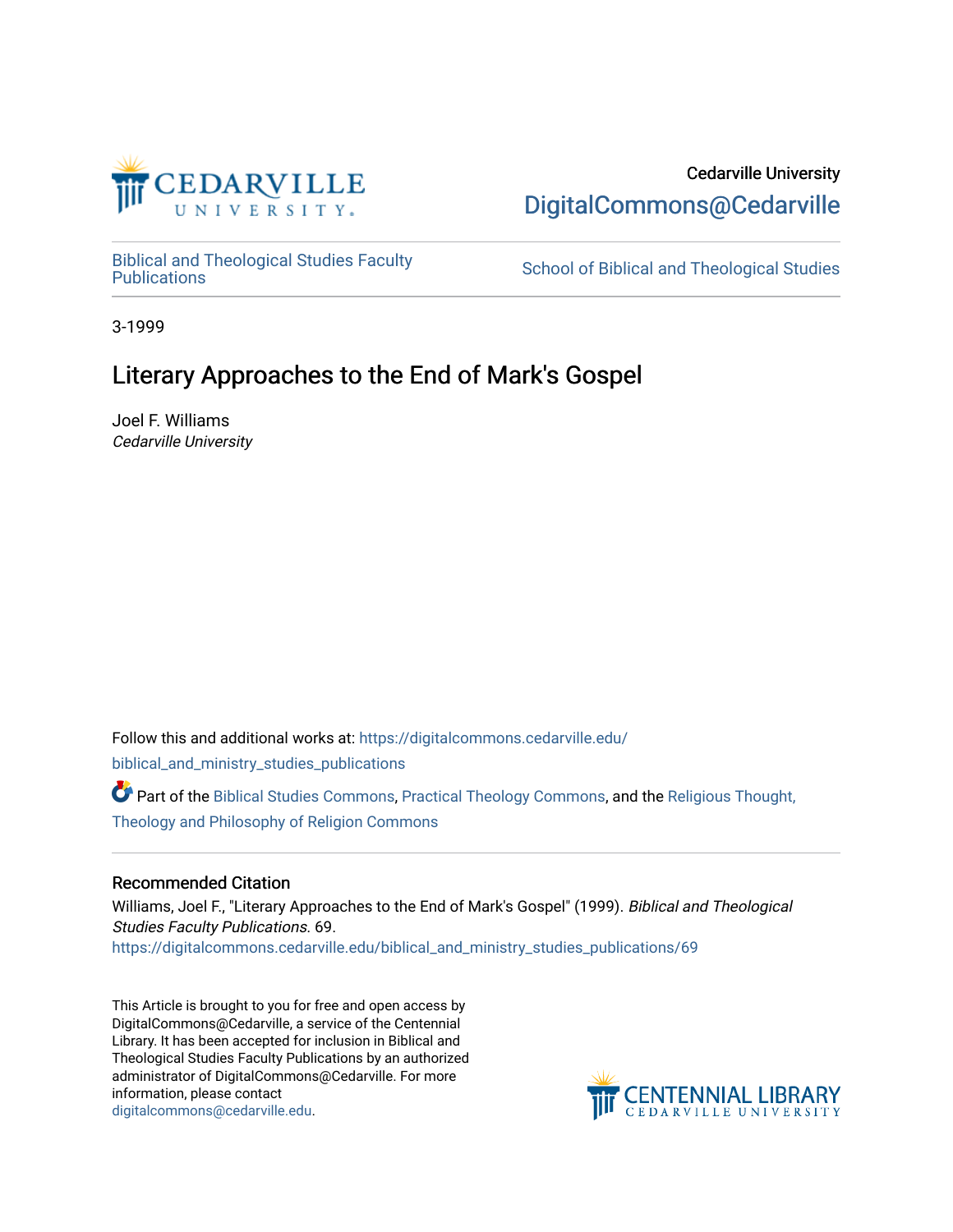

# Cedarville University [DigitalCommons@Cedarville](https://digitalcommons.cedarville.edu/)

[Biblical and Theological Studies Faculty](https://digitalcommons.cedarville.edu/biblical_and_ministry_studies_publications)

School of Biblical and Theological Studies

3-1999

# Literary Approaches to the End of Mark's Gospel

Joel F. Williams Cedarville University

Follow this and additional works at: [https://digitalcommons.cedarville.edu/](https://digitalcommons.cedarville.edu/biblical_and_ministry_studies_publications?utm_source=digitalcommons.cedarville.edu%2Fbiblical_and_ministry_studies_publications%2F69&utm_medium=PDF&utm_campaign=PDFCoverPages) [biblical\\_and\\_ministry\\_studies\\_publications](https://digitalcommons.cedarville.edu/biblical_and_ministry_studies_publications?utm_source=digitalcommons.cedarville.edu%2Fbiblical_and_ministry_studies_publications%2F69&utm_medium=PDF&utm_campaign=PDFCoverPages) 

Part of the [Biblical Studies Commons,](http://network.bepress.com/hgg/discipline/539?utm_source=digitalcommons.cedarville.edu%2Fbiblical_and_ministry_studies_publications%2F69&utm_medium=PDF&utm_campaign=PDFCoverPages) [Practical Theology Commons](http://network.bepress.com/hgg/discipline/1186?utm_source=digitalcommons.cedarville.edu%2Fbiblical_and_ministry_studies_publications%2F69&utm_medium=PDF&utm_campaign=PDFCoverPages), and the [Religious Thought,](http://network.bepress.com/hgg/discipline/544?utm_source=digitalcommons.cedarville.edu%2Fbiblical_and_ministry_studies_publications%2F69&utm_medium=PDF&utm_campaign=PDFCoverPages) [Theology and Philosophy of Religion Commons](http://network.bepress.com/hgg/discipline/544?utm_source=digitalcommons.cedarville.edu%2Fbiblical_and_ministry_studies_publications%2F69&utm_medium=PDF&utm_campaign=PDFCoverPages) 

### Recommended Citation

Williams, Joel F., "Literary Approaches to the End of Mark's Gospel" (1999). Biblical and Theological Studies Faculty Publications. 69. [https://digitalcommons.cedarville.edu/biblical\\_and\\_ministry\\_studies\\_publications/69](https://digitalcommons.cedarville.edu/biblical_and_ministry_studies_publications/69?utm_source=digitalcommons.cedarville.edu%2Fbiblical_and_ministry_studies_publications%2F69&utm_medium=PDF&utm_campaign=PDFCoverPages) 

This Article is brought to you for free and open access by DigitalCommons@Cedarville, a service of the Centennial Library. It has been accepted for inclusion in Biblical and Theological Studies Faculty Publications by an authorized administrator of DigitalCommons@Cedarville. For more information, please contact [digitalcommons@cedarville.edu](mailto:digitalcommons@cedarville.edu).

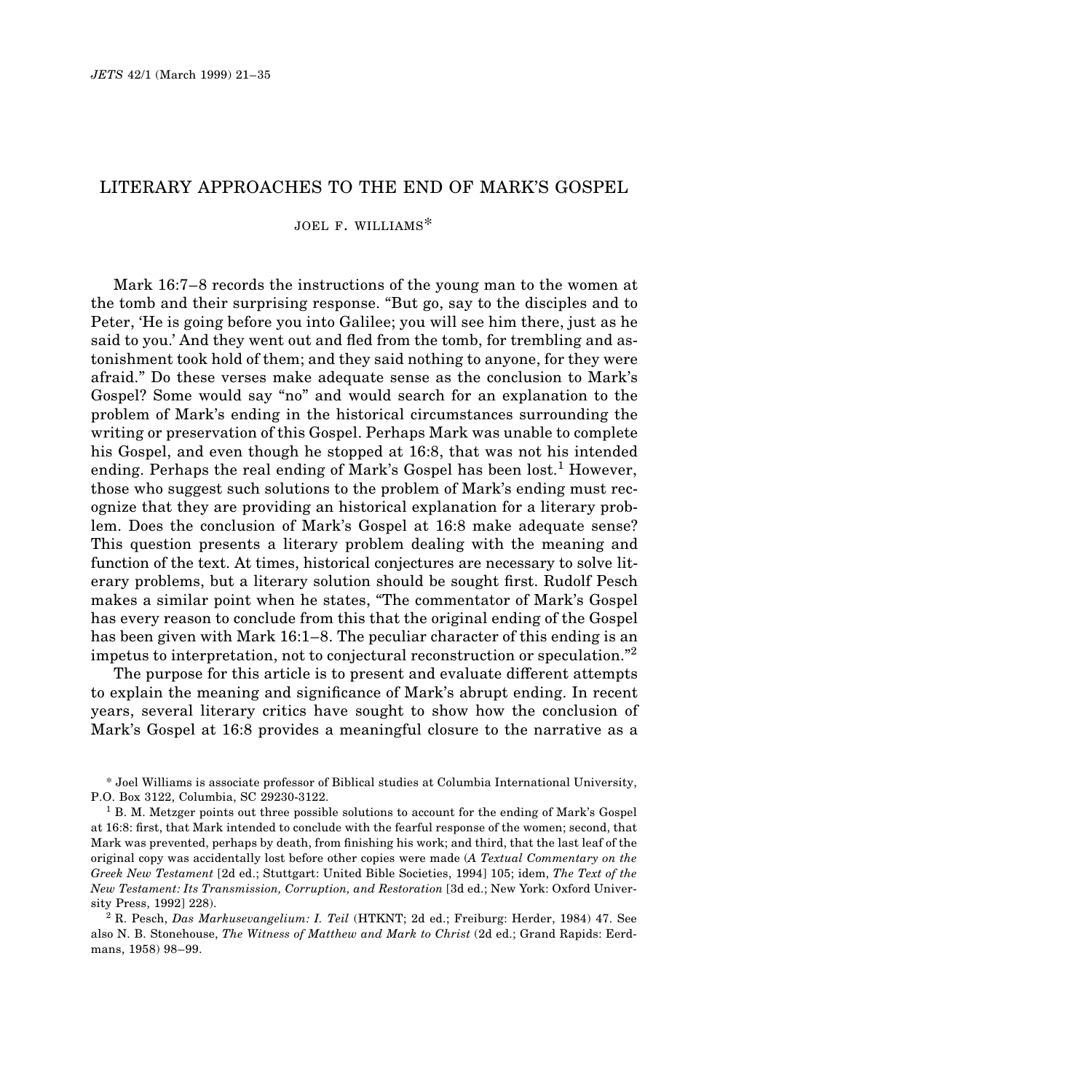### LITERARY APPROACHES TO THE END OF MARK'S GOSPEL

 $JOEL$  F. WILLIAMS<sup>\*</sup>

Mark 16:7–8 records the instructions of the young man to the women at the tomb and their surprising response. "But go, say to the disciples and to Peter, 'He is going before you into Galilee; you will see him there, just as he said to you.' And they went out and fled from the tomb, for trembling and astonishment took hold of them; and they said nothing to anyone, for they were afraid." Do these verses make adequate sense as the conclusion to Mark's Gospel? Some would say "no" and would search for an explanation to the problem of Mark's ending in the historical circumstances surrounding the writing or preservation of this Gospel. Perhaps Mark was unable to complete his Gospel, and even though he stopped at 16:8, that was not his intended ending. Perhaps the real ending of Mark's Gospel has been lost.<sup>1</sup> However, those who suggest such solutions to the problem of Mark's ending must recognize that they are providing an historical explanation for a literary problem. Does the conclusion of Mark's Gospel at 16:8 make adequate sense? This question presents a literary problem dealing with the meaning and function of the text. At times, historical conjectures are necessary to solve literary problems, but a literary solution should be sought first. Rudolf Pesch makes a similar point when he states, "The commentator of Mark's Gospel has every reason to conclude from this that the original ending of the Gospel has been given with Mark 16:1–8. The peculiar character of this ending is an impetus to interpretation, not to conjectural reconstruction or speculation."<sup>2</sup>

The purpose for this article is to present and evaluate different attempts to explain the meaning and significance of Mark's abrupt ending. In recent years, several literary critics have sought to show how the conclusion of Mark's Gospel at 16:8 provides a meaningful closure to the narrative as a

\* Joel Williams is associate professor of Biblical studies at Columbia International University, P.O. Box 3122, Columbia, SC 29230-3122.

 $1$  B. M. Metzger points out three possible solutions to account for the ending of Mark's Gospel at 16:8: first, that Mark intended to conclude with the fearful response of the women; second, that Mark was prevented, perhaps by death, from finishing his work; and third, that the last leaf of the original copy was accidentally lost before other copies were made (*A Textual Commentary on the Greek New Testament* [2d ed.; Stuttgart: United Bible Societies, 1994] 105; idem, *The Text of the New Testament: Its Transmission, Corruption, and Restoration* [3d ed.; New York: Oxford University Press, 1992] 228).

<sup>2</sup> R. Pesch, *Das Markusevangelium: I. Teil* (HTKNT; 2d ed.; Freiburg: Herder, 1984) 47. See also N. B. Stonehouse, *The Witness of Matthew and Mark to Christ* (2d ed.; Grand Rapids: Eerdmans, 1958) 98–99.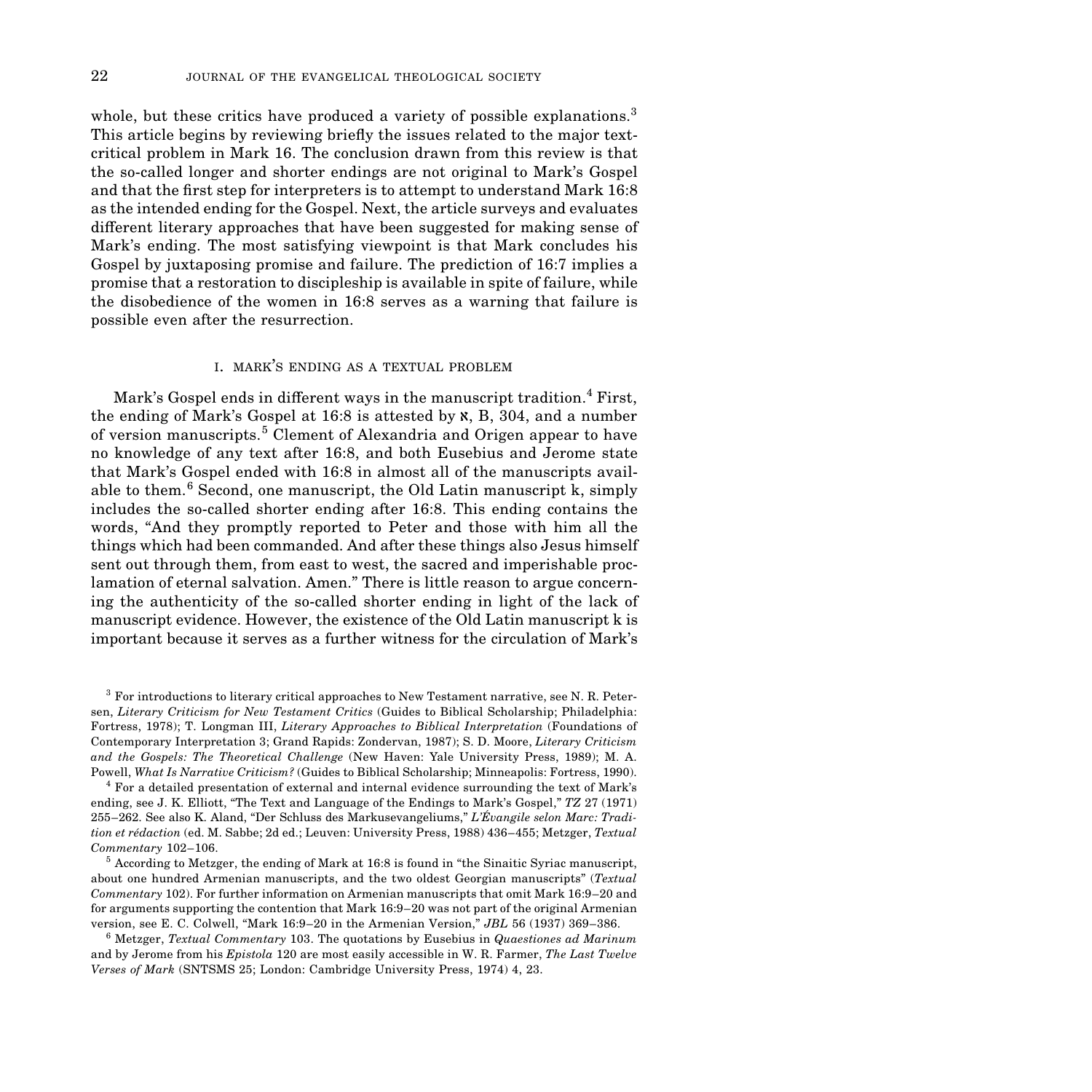whole, but these critics have produced a variety of possible explanations.<sup>3</sup> This article begins by reviewing briefly the issues related to the major textcritical problem in Mark 16. The conclusion drawn from this review is that the so-called longer and shorter endings are not original to Mark's Gospel and that the first step for interpreters is to attempt to understand Mark 16:8 as the intended ending for the Gospel. Next, the article surveys and evaluates different literary approaches that have been suggested for making sense of Mark's ending. The most satisfying viewpoint is that Mark concludes his Gospel by juxtaposing promise and failure. The prediction of 16:7 implies a promise that a restoration to discipleship is available in spite of failure, while the disobedience of the women in 16:8 serves as a warning that failure is possible even after the resurrection.

#### I. MARK'S ENDING AS A TEXTUAL PROBLEM

Mark's Gospel ends in different ways in the manuscript tradition.<sup>4</sup> First, the ending of Mark's Gospel at  $16:8$  is attested by  $\mathfrak{X}, \mathfrak{B}, 304$ , and a number of version manuscripts.5 Clement of Alexandria and Origen appear to have no knowledge of any text after 16:8, and both Eusebius and Jerome state that Mark's Gospel ended with 16:8 in almost all of the manuscripts available to them. $6$  Second, one manuscript, the Old Latin manuscript k, simply includes the so-called shorter ending after 16:8. This ending contains the words, "And they promptly reported to Peter and those with him all the things which had been commanded. And after these things also Jesus himself sent out through them, from east to west, the sacred and imperishable proclamation of eternal salvation. Amen." There is little reason to argue concerning the authenticity of the so-called shorter ending in light of the lack of manuscript evidence. However, the existence of the Old Latin manuscript k is important because it serves as a further witness for the circulation of Mark's

 $3$  For introductions to literary critical approaches to New Testament narrative, see N. R. Petersen, *Literary Criticism for New Testament Critics* (Guides to Biblical Scholarship; Philadelphia: Fortress, 1978); T. Longman III, *Literary Approaches to Biblical Interpretation* (Foundations of Contemporary Interpretation 3; Grand Rapids: Zondervan, 1987); S. D. Moore, *Literary Criticism and the Gospels: The Theoretical Challenge* (New Haven: Yale University Press, 1989); M. A. Powell, *What Is Narrative Criticism?* (Guides to Biblical Scholarship; Minneapolis: Fortress, 1990).

<sup>4</sup> For a detailed presentation of external and internal evidence surrounding the text of Mark's ending, see J. K. Elliott, "The Text and Language of the Endings to Mark's Gospel," *TZ* 27 (1971) 255–262. See also K. Aland, "Der Schluss des Markusevangeliums," *L'Évangile selon Marc: Tradition et rédaction* (ed. M. Sabbe; 2d ed.; Leuven: University Press, 1988) 436–455; Metzger, *Textual Commentary* 102–106.

 $5$  According to Metzger, the ending of Mark at 16:8 is found in "the Sinaitic Syriac manuscript, about one hundred Armenian manuscripts, and the two oldest Georgian manuscripts" (*Textual Commentary* 102). For further information on Armenian manuscripts that omit Mark 16:9–20 and for arguments supporting the contention that Mark 16:9–20 was not part of the original Armenian version, see E. C. Colwell, "Mark 16:9–20 in the Armenian Version," *JBL* 56 (1937) 369–386.

6ÙMetzger, *Textual Commentary* 103. The quotations by Eusebius in *Quaestiones ad Marinum* and by Jerome from his *Epistola* 120 are most easily accessible in W. R. Farmer, *The Last Twelve Verses of Mark* (SNTSMS 25; London: Cambridge University Press, 1974) 4, 23.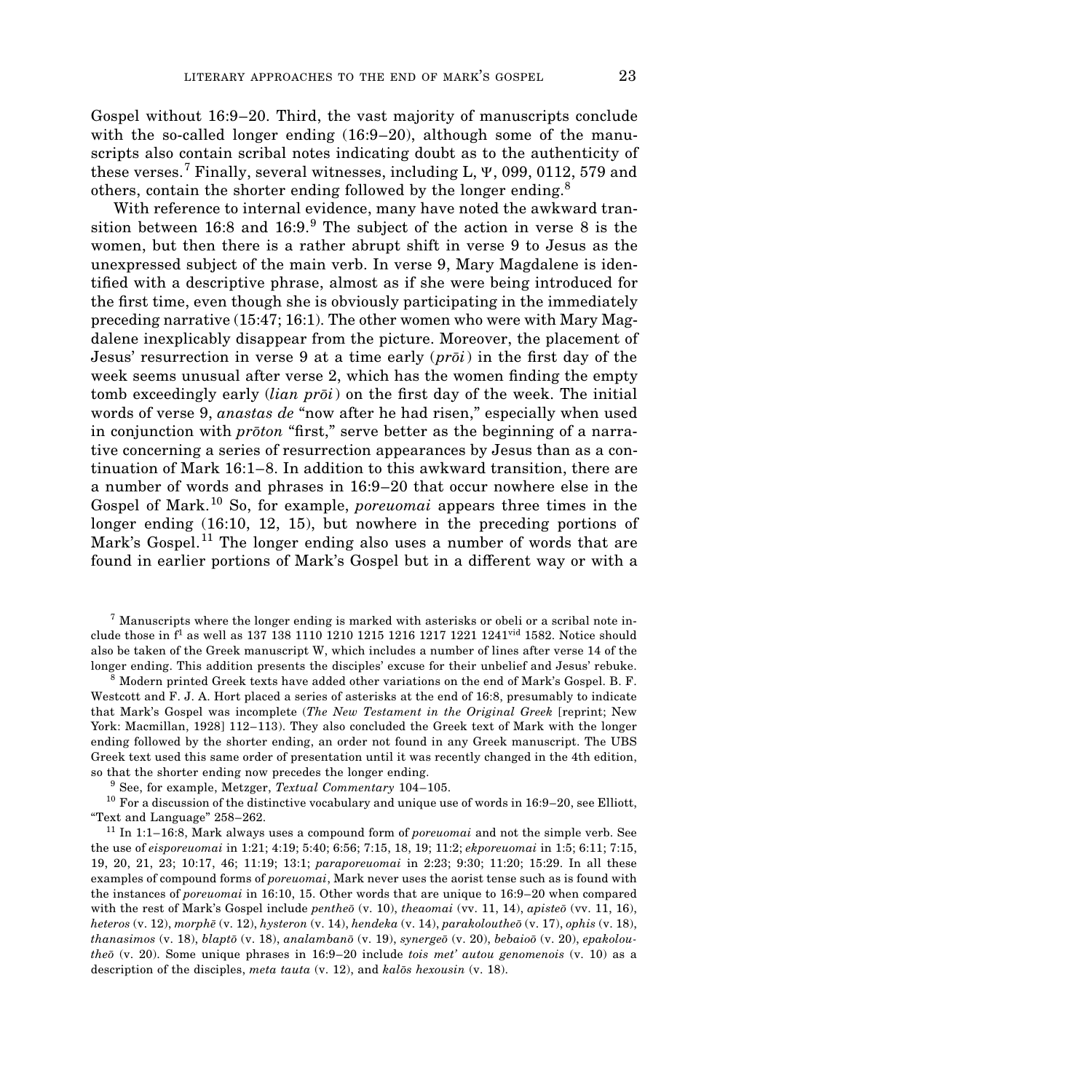Gospel without 16:9–20. Third, the vast majority of manuscripts conclude with the so-called longer ending  $(16:9-20)$ , although some of the manuscripts also contain scribal notes indicating doubt as to the authenticity of these verses.7 Finally, several witnesses, including L, Y, 099, 0112, 579 and others, contain the shorter ending followed by the longer ending.<sup>8</sup>

With reference to internal evidence, many have noted the awkward transition between 16:8 and  $16:9.^9$  The subject of the action in verse 8 is the women, but then there is a rather abrupt shift in verse 9 to Jesus as the unexpressed subject of the main verb. In verse 9, Mary Magdalene is identified with a descriptive phrase, almost as if she were being introduced for the first time, even though she is obviously participating in the immediately preceding narrative (15:47; 16:1). The other women who were with Mary Magdalene inexplicably disappear from the picture. Moreover, the placement of Jesus' resurrection in verse 9 at a time early  $(p r \bar{o} i)$  in the first day of the week seems unusual after verse 2, which has the women finding the empty tomb exceedingly early *(lian proi*) on the first day of the week. The initial words of verse 9, *anastas de* "now after he had risen," especially when used in conjunction with *proton* "first," serve better as the beginning of a narrative concerning a series of resurrection appearances by Jesus than as a continuation of Mark 16:1–8. In addition to this awkward transition, there are a number of words and phrases in 16:9–20 that occur nowhere else in the Gospel of Mark.10 So, for example, *poreuomai* appears three times in the longer ending (16:10, 12, 15), but nowhere in the preceding portions of Mark's Gospel.<sup>11</sup> The longer ending also uses a number of words that are found in earlier portions of Mark's Gospel but in a different way or with a

 $7$  Manuscripts where the longer ending is marked with asterisks or obeli or a scribal note include those in  $f^1$  as well as 137 138 1110 1210 1215 1216 1217 1221 1241<sup>vid</sup> 1582. Notice should also be taken of the Greek manuscript W, which includes a number of lines after verse 14 of the longer ending. This addition presents the disciples' excuse for their unbelief and Jesus' rebuke.

<sup>8</sup> Modern printed Greek texts have added other variations on the end of Mark's Gospel. B. F. Westcott and F. J. A. Hort placed a series of asterisks at the end of 16:8, presumably to indicate that Mark's Gospel was incomplete (*The New Testament in the Original Greek* [reprint; New York: Macmillan, 1928] 112–113). They also concluded the Greek text of Mark with the longer ending followed by the shorter ending, an order not found in any Greek manuscript. The UBS Greek text used this same order of presentation until it was recently changed in the 4th edition, so that the shorter ending now precedes the longer ending.

<sup>9</sup> See, for example, Metzger, *Textual Commentary* 104–105.

 $^{10}$  For a discussion of the distinctive vocabulary and unique use of words in 16:9–20, see Elliott, "Text and Language" 258–262.

<sup>11</sup> In 1:1–16:8, Mark always uses a compound form of *poreuomai* and not the simple verb. See the use of *eisporeuomai* in 1:21; 4:19; 5:40; 6:56; 7:15, 18, 19; 11:2; *ekporeuomai* in 1:5; 6:11; 7:15, 19, 20, 21, 23; 10:17, 46; 11:19; 13:1; *paraporeuomai* in 2:23; 9:30; 11:20; 15:29. In all these examples of compound forms of *poreuomai*, Mark never uses the aorist tense such as is found with the instances of *poreuomai* in 16:10, 15. Other words that are unique to 16:9–20 when compared with the rest of Mark's Gospel include *pentheo* (v. 10), *theaomai* (vv. 11, 14), *apisteo* (vv. 11, 16), *heteros* (v. 12), *morphe* (v. 12), *hysteron* (v. 14), *hendeka* (v. 14), *parakoloutheo* (v. 17), *ophis* (v. 18), *thanasimos* (v. 18), *blapto* (v. 18), *analambano* (v. 19), *synergeo* (v. 20), *bebaioo* (v. 20), *epakoloutheo* (v. 20). Some unique phrases in 16:9–20 include *tois met' autou genomenois* (v. 10) as a description of the disciples, *meta tauta* (v. 12), and *kalos hexousin* (v. 18).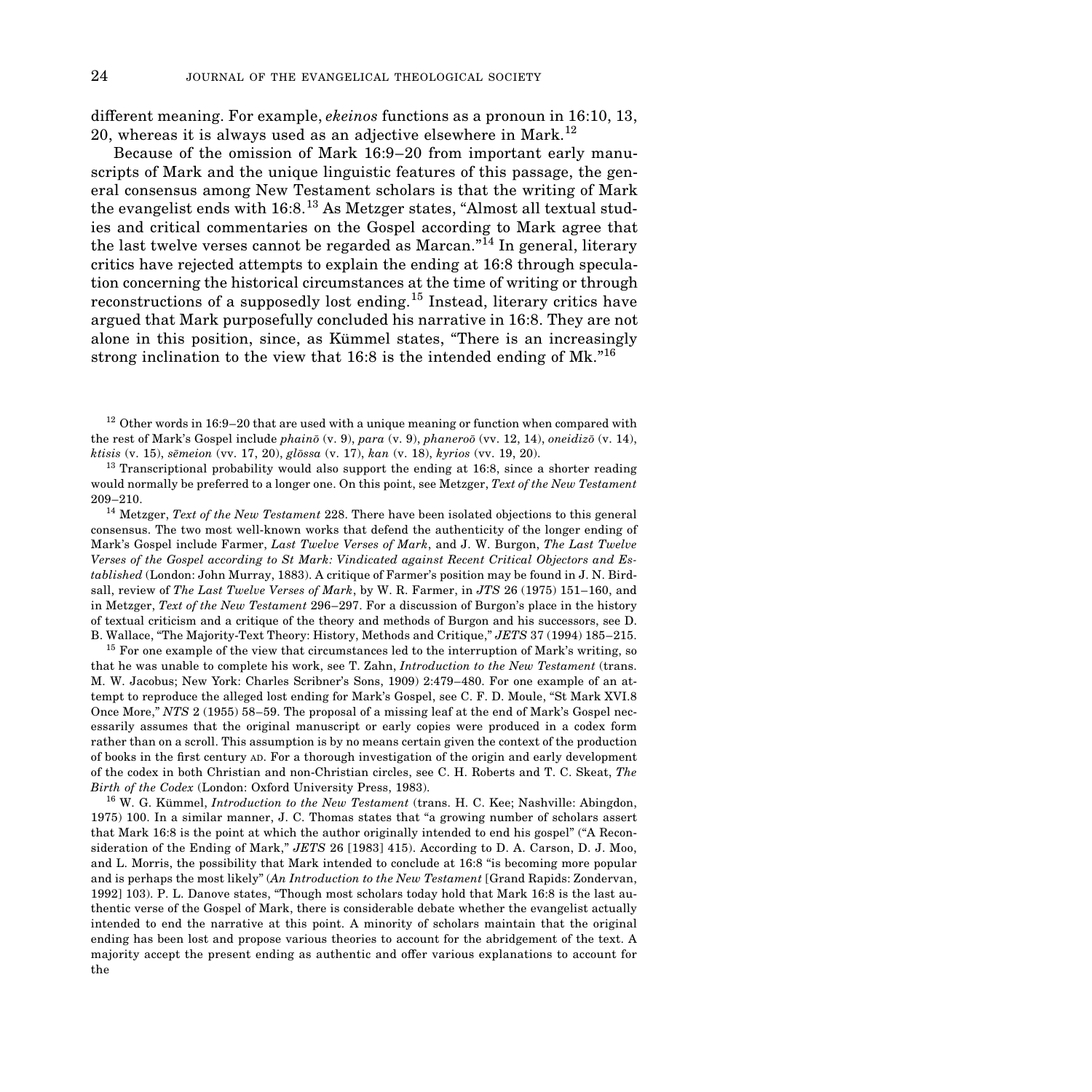different meaning. For example, *ekeinos* functions as a pronoun in 16:10, 13, 20, whereas it is always used as an adjective elsewhere in Mark.<sup>12</sup>

Because of the omission of Mark 16:9–20 from important early manuscripts of Mark and the unique linguistic features of this passage, the general consensus among New Testament scholars is that the writing of Mark the evangelist ends with  $16:8.^{13}$  As Metzger states, "Almost all textual studies and critical commentaries on the Gospel according to Mark agree that the last twelve verses cannot be regarded as Marcan.<sup>"14</sup> In general, literary critics have rejected attempts to explain the ending at 16:8 through speculation concerning the historical circumstances at the time of writing or through reconstructions of a supposedly lost ending.<sup>15</sup> Instead, literary critics have argued that Mark purposefully concluded his narrative in 16:8. They are not alone in this position, since, as Kümmel states, "There is an increasingly strong inclination to the view that 16:8 is the intended ending of Mk."<sup>16</sup>

 $12$  Other words in 16:9–20 that are used with a unique meaning or function when compared with the rest of Mark's Gospel include *phainō* (v. 9), *para* (v. 9), *phaneroō* (vv. 12, 14), *oneidizō* (v. 14), *ktisis* (v. 15), *sēmeion* (vv. 17, 20), *glōssa* (v. 17), *kan* (v. 18), *kyrios* (vv. 19, 20).

 $^{13}$  Transcriptional probability would also support the ending at 16:8, since a shorter reading would normally be preferred to a longer one. On this point, see Metzger, *Text of the New Testament* 209–210.

<sup>14</sup> Metzger, *Text of the New Testament* 228. There have been isolated objections to this general consensus. The two most well-known works that defend the authenticity of the longer ending of Mark's Gospel include Farmer, *Last Twelve Verses of Mark*, and J. W. Burgon, *The Last Twelve Verses of the Gospel according to St Mark: Vindicated against Recent Critical Objectors and Established* (London: John Murray, 1883). A critique of Farmer's position may be found in J. N. Birdsall, review of *The Last Twelve Verses of Mark*, by W. R. Farmer, in *JTS* 26 (1975) 151–160, and in Metzger, *Text of the New Testament* 296–297. For a discussion of Burgon's place in the history of textual criticism and a critique of the theory and methods of Burgon and his successors, see D. B. Wallace, "The Majority-Text Theory: History, Methods and Critique," *JETS* 37 (1994) 185–215.

 $15$  For one example of the view that circumstances led to the interruption of Mark's writing, so that he was unable to complete his work, see T. Zahn, *Introduction to the New Testament* (trans. M. W. Jacobus; New York: Charles Scribner's Sons, 1909) 2:479–480. For one example of an attempt to reproduce the alleged lost ending for Mark's Gospel, see C. F. D. Moule, "St Mark XVI.8 Once More," *NTS* 2 (1955) 58–59. The proposal of a missing leaf at the end of Mark's Gospel necessarily assumes that the original manuscript or early copies were produced in a codex form rather than on a scroll. This assumption is by no means certain given the context of the production of books in the ˜rst century AD. For a thorough investigation of the origin and early development of the codex in both Christian and non-Christian circles, see C. H. Roberts and T. C. Skeat, *The Birth of the Codex* (London: Oxford University Press, 1983).

<sup>16</sup> W. G. Kümmel, *Introduction to the New Testament* (trans. H. C. Kee; Nashville: Abingdon, 1975) 100. In a similar manner, J. C. Thomas states that "a growing number of scholars assert that Mark 16:8 is the point at which the author originally intended to end his gospel" ("A Reconsideration of the Ending of Mark," *JETS* 26 [1983] 415). According to D. A. Carson, D. J. Moo, and L. Morris, the possibility that Mark intended to conclude at 16:8 "is becoming more popular and is perhaps the most likely" (*An Introduction to the New Testament* [Grand Rapids: Zondervan, 1992] 103). P. L. Danove states, "Though most scholars today hold that Mark 16:8 is the last authentic verse of the Gospel of Mark, there is considerable debate whether the evangelist actually intended to end the narrative at this point. A minority of scholars maintain that the original ending has been lost and propose various theories to account for the abridgement of the text. A majority accept the present ending as authentic and offer various explanations to account for the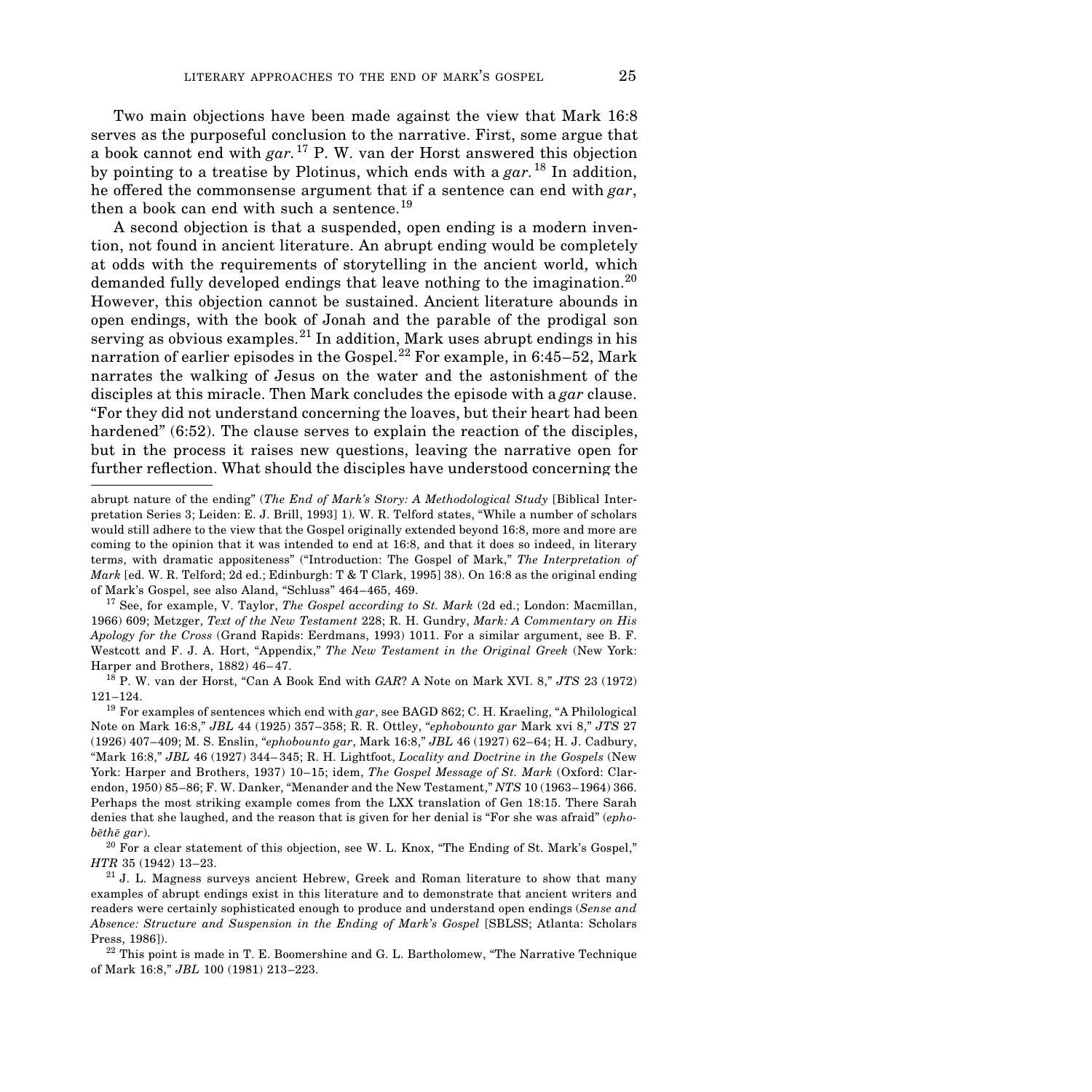Two main objections have been made against the view that Mark 16:8 serves as the purposeful conclusion to the narrative. First, some argue that a book cannot end with *gar.*<sup>17</sup> P. W. van der Horst answered this objection by pointing to a treatise by Plotinus, which ends with a *gar.*<sup>18</sup> In addition, he offered the commonsense argument that if a sentence can end with *gar*, then a book can end with such a sentence.<sup>19</sup>

A second objection is that a suspended, open ending is a modern invention, not found in ancient literature. An abrupt ending would be completely at odds with the requirements of storytelling in the ancient world, which demanded fully developed endings that leave nothing to the imagination.<sup>20</sup> However, this objection cannot be sustained. Ancient literature abounds in open endings, with the book of Jonah and the parable of the prodigal son serving as obvious examples.<sup>21</sup> In addition, Mark uses abrupt endings in his narration of earlier episodes in the Gospel.<sup>22</sup> For example, in 6:45–52, Mark narrates the walking of Jesus on the water and the astonishment of the disciples at this miracle. Then Mark concludes the episode with a *gar* clause. "For they did not understand concerning the loaves, but their heart had been hardened" (6:52). The clause serves to explain the reaction of the disciples, but in the process it raises new questions, leaving the narrative open for further reflection. What should the disciples have understood concerning the

abrupt nature of the ending" (*The End of Mark's Story: A Methodological Study* [Biblical Interpretation Series 3; Leiden: E. J. Brill, 1993] 1). W. R. Telford states, "While a number of scholars would still adhere to the view that the Gospel originally extended beyond 16:8, more and more are coming to the opinion that it was intended to end at 16:8, and that it does so indeed, in literary terms, with dramatic appositeness" ("Introduction: The Gospel of Mark," *The Interpretation of Mark* [ed. W. R. Telford; 2d ed.; Edinburgh: T & T Clark, 1995] 38). On 16:8 as the original ending of Mark's Gospel, see also Aland, "Schluss" 464–465, 469.

<sup>&</sup>lt;sup>17</sup> See, for example, V. Taylor, *The Gospel according to St. Mark* (2d ed.; London: Macmillan, 1966) 609; Metzger, *Text of the New Testament* 228; R. H. Gundry, *Mark: A Commentary on His Apology for the Cross* (Grand Rapids: Eerdmans, 1993) 1011. For a similar argument, see B. F. Westcott and F. J. A. Hort, "Appendix," *The New Testament in the Original Greek* (New York: Harper and Brothers, 1882) 46–47.

<sup>&</sup>lt;sup>18</sup> P. W. van der Horst, "Can A Book End with *GAR*? A Note on Mark XVI. 8," *JTS* 23 (1972) 121–124.

<sup>&</sup>lt;sup>19</sup> For examples of sentences which end with  $gar$ , see BAGD 862; C. H. Kraeling, "A Philological Note on Mark 16:8," *JBL* 44 (1925) 357–358; R. R. Ottley, "*ephobounto gar* Mark xvi 8," *JTS* 27 (1926) 407–409; M. S. Enslin, "*ephobounto gar*, Mark 16:8," *JBL* 46 (1927) 62–64; H. J. Cadbury, "Mark 16:8," *JBL* 46 (1927) 344–345; R. H. Lightfoot, *Locality and Doctrine in the Gospels* (New York: Harper and Brothers, 1937) 10–15; idem, *The Gospel Message of St. Mark* (Oxford: Clarendon, 1950) 85–86; F. W. Danker, "Menander and the New Testament," *NTS* 10 (1963–1964) 366. Perhaps the most striking example comes from the LXX translation of Gen 18:15. There Sarah denies that she laughed, and the reason that is given for her denial is "For she was afraid" (*ephob* $e^{i\hbar}$  *gar*). 20 For a clear statement of this objection, see W. L. Knox, "The Ending of St. Mark's Gospel,"

*HTR* 35 (1942) 13–23.

<sup>&</sup>lt;sup>21</sup> J. L. Magness surveys ancient Hebrew, Greek and Roman literature to show that many examples of abrupt endings exist in this literature and to demonstrate that ancient writers and readers were certainly sophisticated enough to produce and understand open endings (*Sense and Absence: Structure and Suspension in the Ending of Mark's Gospel* [SBLSS; Atlanta: Scholars Press, 1986]).

 $22$  This point is made in T. E. Boomershine and G. L. Bartholomew, "The Narrative Technique of Mark 16:8," *JBL* 100 (1981) 213–223.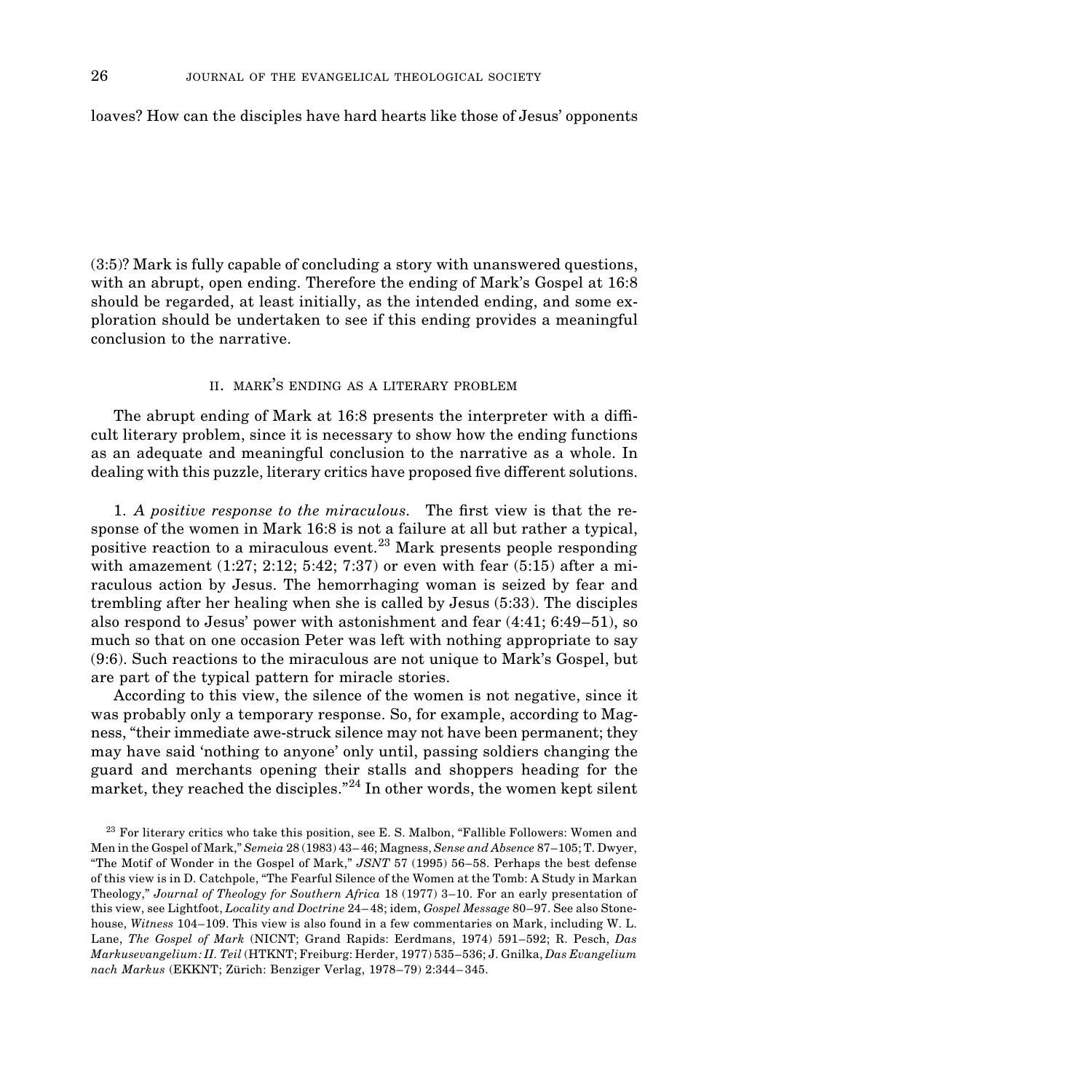loaves? How can the disciples have hard hearts like those of Jesus' opponents

(3:5)? Mark is fully capable of concluding a story with unanswered questions, with an abrupt, open ending. Therefore the ending of Mark's Gospel at 16:8 should be regarded, at least initially, as the intended ending, and some exploration should be undertaken to see if this ending provides a meaningful conclusion to the narrative.

#### II. MARK'S ENDING AS A LITERARY PROBLEM

The abrupt ending of Mark at  $16:8$  presents the interpreter with a difficult literary problem, since it is necessary to show how the ending functions as an adequate and meaningful conclusion to the narrative as a whole. In dealing with this puzzle, literary critics have proposed five different solutions.

1. A positive response to the miraculous. The first view is that the response of the women in Mark 16:8 is not a failure at all but rather a typical, positive reaction to a miraculous event.23 Mark presents people responding with amazement  $(1:27; 2:12; 5:42; 7:37)$  or even with fear  $(5:15)$  after a miraculous action by Jesus. The hemorrhaging woman is seized by fear and trembling after her healing when she is called by Jesus (5:33). The disciples also respond to Jesus' power with astonishment and fear (4:41; 6:49–51), so much so that on one occasion Peter was left with nothing appropriate to say (9:6). Such reactions to the miraculous are not unique to Mark's Gospel, but are part of the typical pattern for miracle stories.

According to this view, the silence of the women is not negative, since it was probably only a temporary response. So, for example, according to Magness, "their immediate awe-struck silence may not have been permanent; they may have said 'nothing to anyone' only until, passing soldiers changing the guard and merchants opening their stalls and shoppers heading for the market, they reached the disciples."<sup>24</sup> In other words, the women kept silent

 $23$  For literary critics who take this position, see E. S. Malbon, "Fallible Followers: Women and Men in the Gospel of Mark," *Semeia* 28 (1983) 43–46; Magness, *Sense and Absence* 87–105; T. Dwyer, "The Motif of Wonder in the Gospel of Mark," *JSNT* 57 (1995) 56–58. Perhaps the best defense of this view is in D. Catchpole, "The Fearful Silence of the Women at the Tomb: A Study in Markan Theology," *Journal of Theology for Southern Africa* 18 (1977) 3–10. For an early presentation of this view, see Lightfoot, *Locality and Doctrine* 24–48; idem, *Gospel Message* 80–97. See also Stonehouse, *Witness* 104–109. This view is also found in a few commentaries on Mark, including W. L. Lane, *The Gospel of Mark* (NICNT; Grand Rapids: Eerdmans, 1974) 591–592; R. Pesch, *Das Markusevangelium: II. Teil* (HTKNT; Freiburg: Herder, 1977) 535–536; J. Gnilka, *Das Evangelium nach Markus* (EKKNT; Zürich: Benziger Verlag, 1978–79) 2:344–345.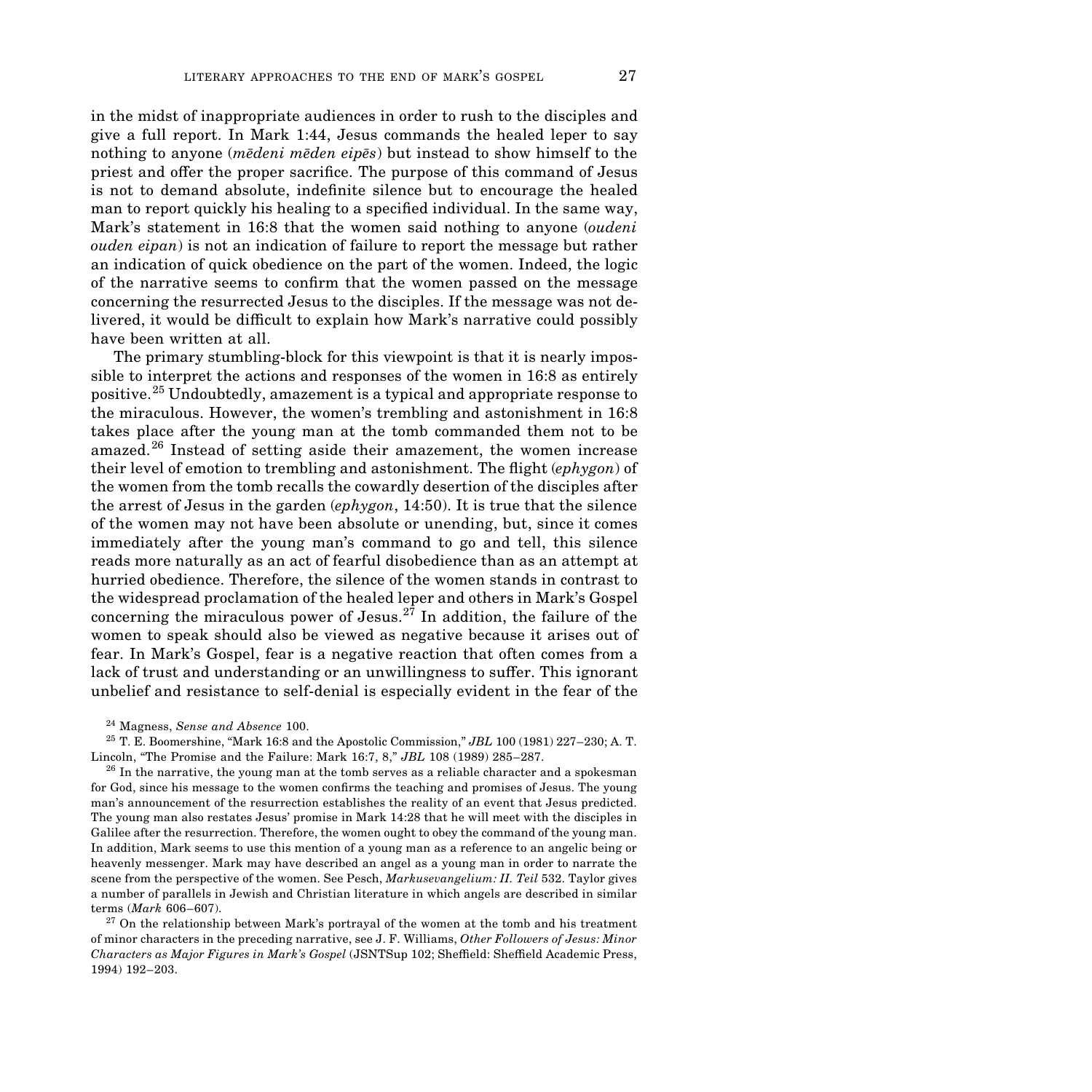in the midst of inappropriate audiences in order to rush to the disciples and give a full report. In Mark 1:44, Jesus commands the healed leper to say nothing to anyone (*medeni meden eipes*) but instead to show himself to the priest and offer the proper sacrifice. The purpose of this command of Jesus is not to demand absolute, indefinite silence but to encourage the healed man to report quickly his healing to a specified individual. In the same way, Mark's statement in 16:8 that the women said nothing to anyone (*oudeni ouden eipan*) is not an indication of failure to report the message but rather an indication of quick obedience on the part of the women. Indeed, the logic of the narrative seems to con˜rm that the women passed on the message concerning the resurrected Jesus to the disciples. If the message was not delivered, it would be difficult to explain how Mark's narrative could possibly have been written at all.

The primary stumbling-block for this viewpoint is that it is nearly impossible to interpret the actions and responses of the women in 16:8 as entirely positive.25 Undoubtedly, amazement is a typical and appropriate response to the miraculous. However, the women's trembling and astonishment in 16:8 takes place after the young man at the tomb commanded them not to be amazed.26 Instead of setting aside their amazement, the women increase their level of emotion to trembling and astonishment. The flight *(ephygon*) of the women from the tomb recalls the cowardly desertion of the disciples after the arrest of Jesus in the garden (*ephygon*, 14:50). It is true that the silence of the women may not have been absolute or unending, but, since it comes immediately after the young man's command to go and tell, this silence reads more naturally as an act of fearful disobedience than as an attempt at hurried obedience. Therefore, the silence of the women stands in contrast to the widespread proclamation of the healed leper and others in Mark's Gospel concerning the miraculous power of Jesus.<sup>27</sup> In addition, the failure of the women to speak should also be viewed as negative because it arises out of fear. In Mark's Gospel, fear is a negative reaction that often comes from a lack of trust and understanding or an unwillingness to suffer. This ignorant unbelief and resistance to self-denial is especially evident in the fear of the

<sup>24</sup> Magness, *Sense and Absence* 100.

<sup>25</sup> T. E. Boomershine, "Mark 16:8 and the Apostolic Commission," *JBL* 100 (1981) 227–230; A. T. Lincoln, "The Promise and the Failure: Mark 16:7, 8," *JBL* 108 (1989) 285–287.

 $26$  In the narrative, the young man at the tomb serves as a reliable character and a spokesman for God, since his message to the women confirms the teaching and promises of Jesus. The young man's announcement of the resurrection establishes the reality of an event that Jesus predicted. The young man also restates Jesus' promise in Mark 14:28 that he will meet with the disciples in Galilee after the resurrection. Therefore, the women ought to obey the command of the young man. In addition, Mark seems to use this mention of a young man as a reference to an angelic being or heavenly messenger. Mark may have described an angel as a young man in order to narrate the scene from the perspective of the women. See Pesch, *Markusevangelium: II. Teil* 532. Taylor gives a number of parallels in Jewish and Christian literature in which angels are described in similar terms (*Mark* 606–607).

 $27$  On the relationship between Mark's portrayal of the women at the tomb and his treatment of minor characters in the preceding narrative, see J. F. Williams, *Other Followers of Jesus: Minor Characters as Major Figures in Mark's Gospel* (JSNTSup 102; Sheffield: Sheffield Academic Press, 1994) 192–203.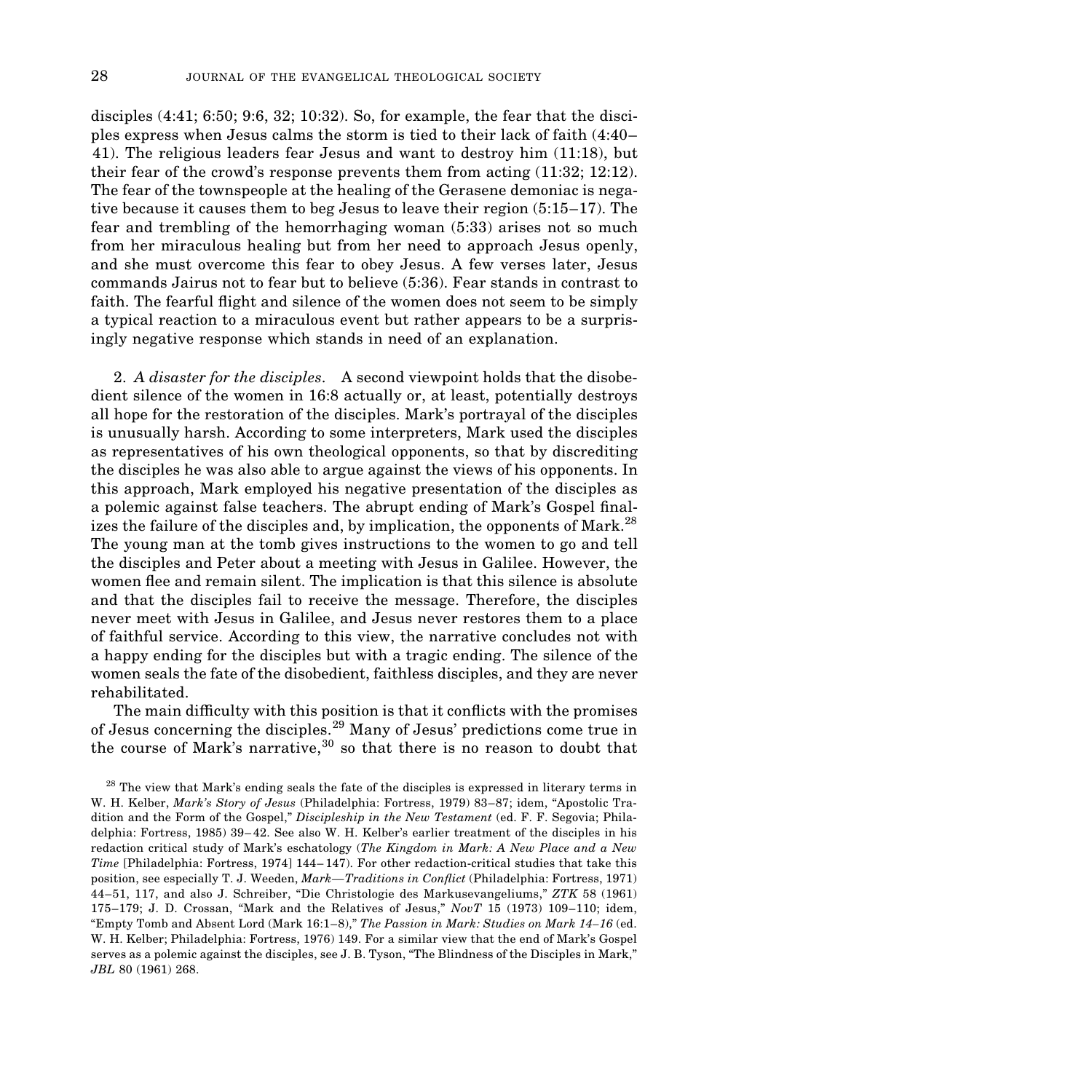disciples (4:41; 6:50; 9:6, 32; 10:32). So, for example, the fear that the disciples express when Jesus calms the storm is tied to their lack of faith (4:40– 41). The religious leaders fear Jesus and want to destroy him (11:18), but their fear of the crowd's response prevents them from acting (11:32; 12:12). The fear of the townspeople at the healing of the Gerasene demoniac is negative because it causes them to beg Jesus to leave their region (5:15–17). The fear and trembling of the hemorrhaging woman (5:33) arises not so much from her miraculous healing but from her need to approach Jesus openly, and she must overcome this fear to obey Jesus. A few verses later, Jesus commands Jairus not to fear but to believe (5:36). Fear stands in contrast to faith. The fearful flight and silence of the women does not seem to be simply a typical reaction to a miraculous event but rather appears to be a surprisingly negative response which stands in need of an explanation.

2. *A disaster for the disciples*. A second viewpoint holds that the disobedient silence of the women in 16:8 actually or, at least, potentially destroys all hope for the restoration of the disciples. Mark's portrayal of the disciples is unusually harsh. According to some interpreters, Mark used the disciples as representatives of his own theological opponents, so that by discrediting the disciples he was also able to argue against the views of his opponents. In this approach, Mark employed his negative presentation of the disciples as a polemic against false teachers. The abrupt ending of Mark's Gospel finalizes the failure of the disciples and, by implication, the opponents of Mark.<sup>28</sup> The young man at the tomb gives instructions to the women to go and tell the disciples and Peter about a meeting with Jesus in Galilee. However, the women flee and remain silent. The implication is that this silence is absolute and that the disciples fail to receive the message. Therefore, the disciples never meet with Jesus in Galilee, and Jesus never restores them to a place of faithful service. According to this view, the narrative concludes not with a happy ending for the disciples but with a tragic ending. The silence of the women seals the fate of the disobedient, faithless disciples, and they are never rehabilitated.

The main difficulty with this position is that it conflicts with the promises of Jesus concerning the disciples.29 Many of Jesus' predictions come true in the course of Mark's narrative,  $30$  so that there is no reason to doubt that

 $28$  The view that Mark's ending seals the fate of the disciples is expressed in literary terms in W. H. Kelber, *Mark's Story of Jesus* (Philadelphia: Fortress, 1979) 83–87; idem, "Apostolic Tradition and the Form of the Gospel," *Discipleship in the New Testament* (ed. F. F. Segovia; Philadelphia: Fortress, 1985) 39–42. See also W. H. Kelber's earlier treatment of the disciples in his redaction critical study of Mark's eschatology (*The Kingdom in Mark: A New Place and a New Time* [Philadelphia: Fortress, 1974] 144–147). For other redaction-critical studies that take this position, see especially T. J. Weeden, *Mark—Traditions in Con˘ict* (Philadelphia: Fortress, 1971) 44–51, 117, and also J. Schreiber, "Die Christologie des Markusevangeliums," *ZTK* 58 (1961) 175–179; J. D. Crossan, "Mark and the Relatives of Jesus," *NovT* 15 (1973) 109–110; idem, "Empty Tomb and Absent Lord (Mark 16:1–8)," *The Passion in Mark: Studies on Mark 14–16* (ed. W. H. Kelber; Philadelphia: Fortress, 1976) 149. For a similar view that the end of Mark's Gospel serves as a polemic against the disciples, see J. B. Tyson, "The Blindness of the Disciples in Mark," *JBL* 80 (1961) 268.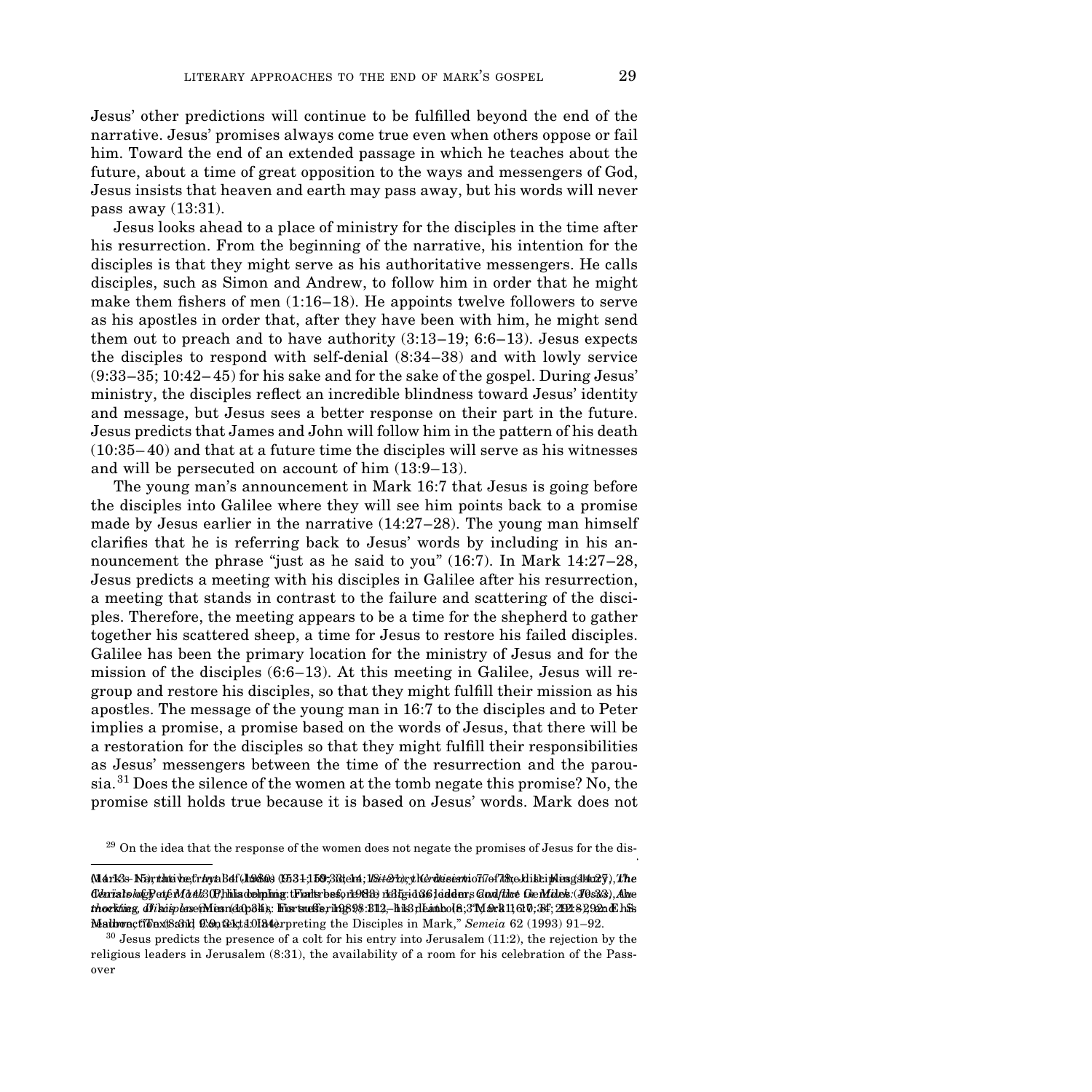Jesus' other predictions will continue to be ful˜lled beyond the end of the narrative. Jesus' promises always come true even when others oppose or fail him. Toward the end of an extended passage in which he teaches about the future, about a time of great opposition to the ways and messengers of God, Jesus insists that heaven and earth may pass away, but his words will never pass away (13:31).

Jesus looks ahead to a place of ministry for the disciples in the time after his resurrection. From the beginning of the narrative, his intention for the disciples is that they might serve as his authoritative messengers. He calls disciples, such as Simon and Andrew, to follow him in order that he might make them fishers of men  $(1:16-18)$ . He appoints twelve followers to serve as his apostles in order that, after they have been with him, he might send them out to preach and to have authority (3:13–19; 6:6–13). Jesus expects the disciples to respond with self-denial (8:34–38) and with lowly service (9:33–35; 10:42–45) for his sake and for the sake of the gospel. During Jesus' ministry, the disciples reflect an incredible blindness toward Jesus' identity and message, but Jesus sees a better response on their part in the future. Jesus predicts that James and John will follow him in the pattern of his death (10:35–40) and that at a future time the disciples will serve as his witnesses and will be persecuted on account of him (13:9–13).

The young man's announcement in Mark 16:7 that Jesus is going before the disciples into Galilee where they will see him points back to a promise made by Jesus earlier in the narrative  $(14:27-28)$ . The young man himself clarifies that he is referring back to Jesus' words by including in his announcement the phrase "just as he said to you" (16:7). In Mark 14:27–28, Jesus predicts a meeting with his disciples in Galilee after his resurrection, a meeting that stands in contrast to the failure and scattering of the disciples. Therefore, the meeting appears to be a time for the shepherd to gather together his scattered sheep, a time for Jesus to restore his failed disciples. Galilee has been the primary location for the ministry of Jesus and for the mission of the disciples  $(6:6-13)$ . At this meeting in Galilee, Jesus will regroup and restore his disciples, so that they might fulfill their mission as his apostles. The message of the young man in 16:7 to the disciples and to Peter implies a promise, a promise based on the words of Jesus, that there will be a restoration for the disciples so that they might fulfill their responsibilities as Jesus' messengers between the time of the resurrection and the parousia.<sup>31</sup> Does the silence of the women at the tomb negate this promise? No, the promise still holds true because it is based on Jesus' words. Mark does not

 $29$  On the idea that the response of the women does not negate the promises of Jesus for the disciples, see N. R. Petersen, "When is the End Not the End Not the End Not the End Not the End Not the End Not t

Mark's Narrative," *Int* 34 (1980) 153–159; idem, *Literary Criticism* 77–78; J. D. Kingsbury, *The* (M4rK3s-N5iyrlatsi ve;tråyta Bdf(JAABi) (EB34;150;38t)ciri);1*18xt&rbry*th&rdtssexti oTi7of7dhcAi i Brisg(31stx2ÿ),7the<br>Clánřa lokulgBetyEMA #23(P)hi la deltplinig:tFixthrbeskort9889 risBE5id86Jeidenrs Guxl/Hate GlerMidek: *thoritin*g, dFikrip*le*rse(Minsn(2Ap3K); Fixrtmelie, in2698:B12,–his dEambol 8;3°NL & 11, 610;384; 2021:89,922ndChSz Malbon, "Kontext" (Contexts: Interpreting the Disciples in Mark," *Semeia* 62 (1993) 91–92. **Result** 

 $30$  Jesus predicts the presence of a colt for his entry into Jerusalem (11:2), the rejection by the religious leaders in Jerusalem (8:31), the availability of a room for his celebration of the Passover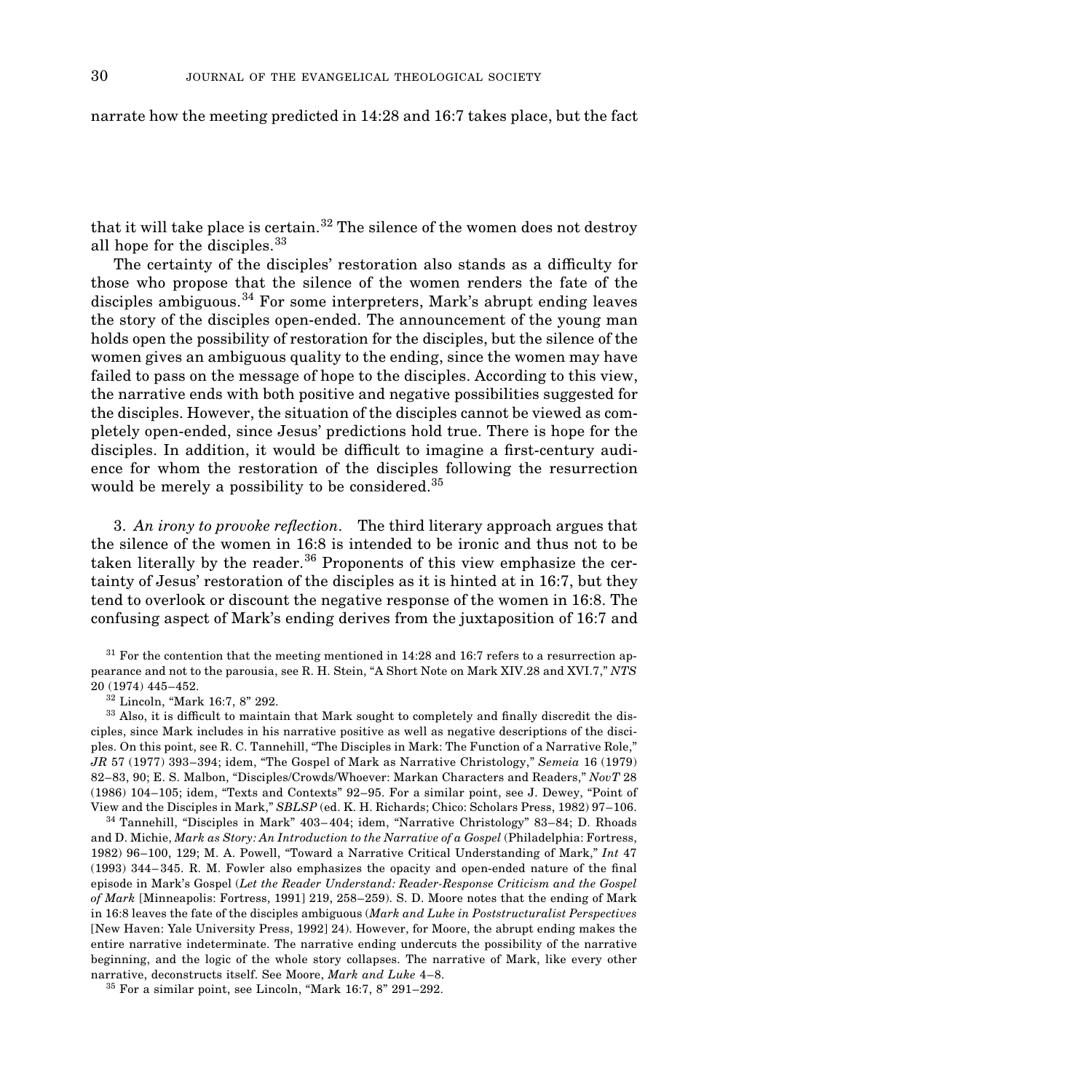#### narrate how the meeting predicted in 14:28 and 16:7 takes place, but the fact

that it will take place is certain.<sup>32</sup> The silence of the women does not destroy all hope for the disciples.<sup>33</sup>

The certainty of the disciples' restoration also stands as a difficulty for those who propose that the silence of the women renders the fate of the disciples ambiguous.<sup>34</sup> For some interpreters, Mark's abrupt ending leaves the story of the disciples open-ended. The announcement of the young man holds open the possibility of restoration for the disciples, but the silence of the women gives an ambiguous quality to the ending, since the women may have failed to pass on the message of hope to the disciples. According to this view, the narrative ends with both positive and negative possibilities suggested for the disciples. However, the situation of the disciples cannot be viewed as completely open-ended, since Jesus' predictions hold true. There is hope for the disciples. In addition, it would be difficult to imagine a first-century audience for whom the restoration of the disciples following the resurrection would be merely a possibility to be considered.<sup>35</sup>

3. An *irony to provoke reflection*. The third literary approach argues that the silence of the women in 16:8 is intended to be ironic and thus not to be taken literally by the reader. $36$  Proponents of this view emphasize the certainty of Jesus' restoration of the disciples as it is hinted at in 16:7, but they tend to overlook or discount the negative response of the women in 16:8. The confusing aspect of Mark's ending derives from the juxtaposition of 16:7 and

 $31$  For the contention that the meeting mentioned in 14:28 and 16:7 refers to a resurrection appearance and not to the parousia, see R. H. Stein, "A Short Note on Mark XIV.28 and XVI.7," *NTS* 20 (1974) 445–452.

<sup>32</sup> Lincoln, "Mark 16:7, 8" 292.

<sup>33</sup> Also, it is difficult to maintain that Mark sought to completely and finally discredit the disciples, since Mark includes in his narrative positive as well as negative descriptions of the disciples. On this point, see R. C. Tannehill, "The Disciples in Mark: The Function of a Narrative Role," *JR* 57 (1977) 393–394; idem, "The Gospel of Mark as Narrative Christology," *Semeia* 16 (1979) 82–83, 90; E. S. Malbon, "Disciples/Crowds/Whoever: Markan Characters and Readers," *NovT* 28 (1986) 104–105; idem, "Texts and Contexts" 92–95. For a similar point, see J. Dewey, "Point of View and the Disciples in Mark," *SBLSP* (ed. K. H. Richards; Chico: Scholars Press, 1982) 97–106.

<sup>34</sup> Tannehill, "Disciples in Mark" 403–404; idem, "Narrative Christology" 83–84; D. Rhoads and D. Michie, *Mark as Story: An Introduction to the Narrative of a Gospel* (Philadelphia: Fortress, 1982) 96–100, 129; M. A. Powell, "Toward a Narrative Critical Understanding of Mark," *Int* 47  $(1993)$  344–345. R. M. Fowler also emphasizes the opacity and open-ended nature of the final episode in Mark's Gospel (*Let the Reader Understand: Reader-Response Criticism and the Gospel of Mark* [Minneapolis: Fortress, 1991] 219, 258–259). S. D. Moore notes that the ending of Mark in 16:8 leaves the fate of the disciples ambiguous (*Mark and Luke in Poststructuralist Perspectives* [New Haven: Yale University Press, 1992] 24). However, for Moore, the abrupt ending makes the entire narrative indeterminate. The narrative ending undercuts the possibility of the narrative beginning, and the logic of the whole story collapses. The narrative of Mark, like every other narrative, deconstructs itself. See Moore, *Mark and Luke* 4–8.

 $35$  For a similar point, see Lincoln, "Mark 16:7, 8" 291–292.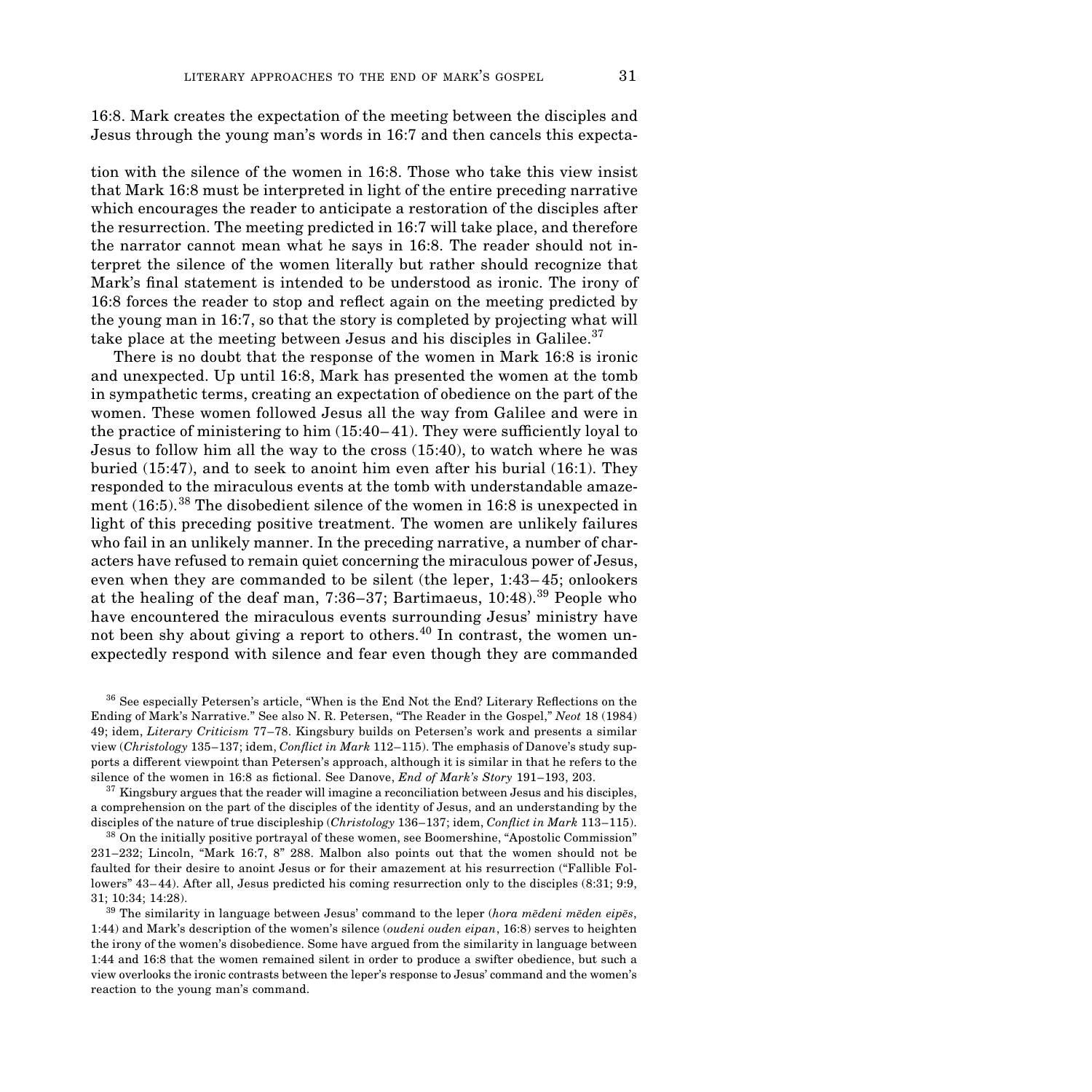16:8. Mark creates the expectation of the meeting between the disciples and Jesus through the young man's words in 16:7 and then cancels this expecta-

tion with the silence of the women in 16:8. Those who take this view insist that Mark 16:8 must be interpreted in light of the entire preceding narrative which encourages the reader to anticipate a restoration of the disciples after the resurrection. The meeting predicted in 16:7 will take place, and therefore the narrator cannot mean what he says in 16:8. The reader should not interpret the silence of the women literally but rather should recognize that Mark's final statement is intended to be understood as ironic. The irony of 16:8 forces the reader to stop and reflect again on the meeting predicted by the young man in 16:7, so that the story is completed by projecting what will take place at the meeting between Jesus and his disciples in Galilee.<sup>37</sup>

There is no doubt that the response of the women in Mark 16:8 is ironic and unexpected. Up until 16:8, Mark has presented the women at the tomb in sympathetic terms, creating an expectation of obedience on the part of the women. These women followed Jesus all the way from Galilee and were in the practice of ministering to him  $(15:40-41)$ . They were sufficiently loyal to Jesus to follow him all the way to the cross (15:40), to watch where he was buried (15:47), and to seek to anoint him even after his burial (16:1). They responded to the miraculous events at the tomb with understandable amazement (16:5).38 The disobedient silence of the women in 16:8 is unexpected in light of this preceding positive treatment. The women are unlikely failures who fail in an unlikely manner. In the preceding narrative, a number of characters have refused to remain quiet concerning the miraculous power of Jesus, even when they are commanded to be silent (the leper, 1:43–45; onlookers at the healing of the deaf man, 7:36–37; Bartimaeus, 10:48).39 People who have encountered the miraculous events surrounding Jesus' ministry have not been shy about giving a report to others.<sup>40</sup> In contrast, the women unexpectedly respond with silence and fear even though they are commanded

<sup>36</sup> See especially Petersen's article, "When is the End Not the End? Literary Reflections on the Ending of Mark's Narrative." See also N. R. Petersen, "The Reader in the Gospel," *Neot* 18 (1984) 49; idem, *Literary Criticism* 77–78. Kingsbury builds on Petersen's work and presents a similar view (*Christology* 135–137; idem, *Conflict in Mark* 112–115). The emphasis of Danove's study supports a different viewpoint than Petersen's approach, although it is similar in that he refers to the silence of the women in 16:8 as fictional. See Danove, *End of Mark's Story* 191–193, 203.

 $37$  Kingsbury argues that the reader will imagine a reconciliation between Jesus and his disciples, a comprehension on the part of the disciples of the identity of Jesus, and an understanding by the disciples of the nature of true discipleship (*Christology* 136–137; idem, *Conflict in Mark* 113–115).

<sup>38</sup> On the initially positive portrayal of these women, see Boomershine, "Apostolic Commission" 231–232; Lincoln, "Mark 16:7, 8" 288. Malbon also points out that the women should not be faulted for their desire to anoint Jesus or for their amazement at his resurrection ("Fallible Followers" 43–44). After all, Jesus predicted his coming resurrection only to the disciples (8:31; 9:9, 31; 10:34; 14:28).

<sup>39</sup> The similarity in language between Jesus' command to the leper (*hora medeni mẽden eipẽs*, 1:44) and Mark's description of the women's silence (*oudeni ouden eipan*, 16:8) serves to heighten the irony of the women's disobedience. Some have argued from the similarity in language between 1:44 and 16:8 that the women remained silent in order to produce a swifter obedience, but such a view overlooks the ironic contrasts between the leper's response to Jesus' command and the women's reaction to the young man's command.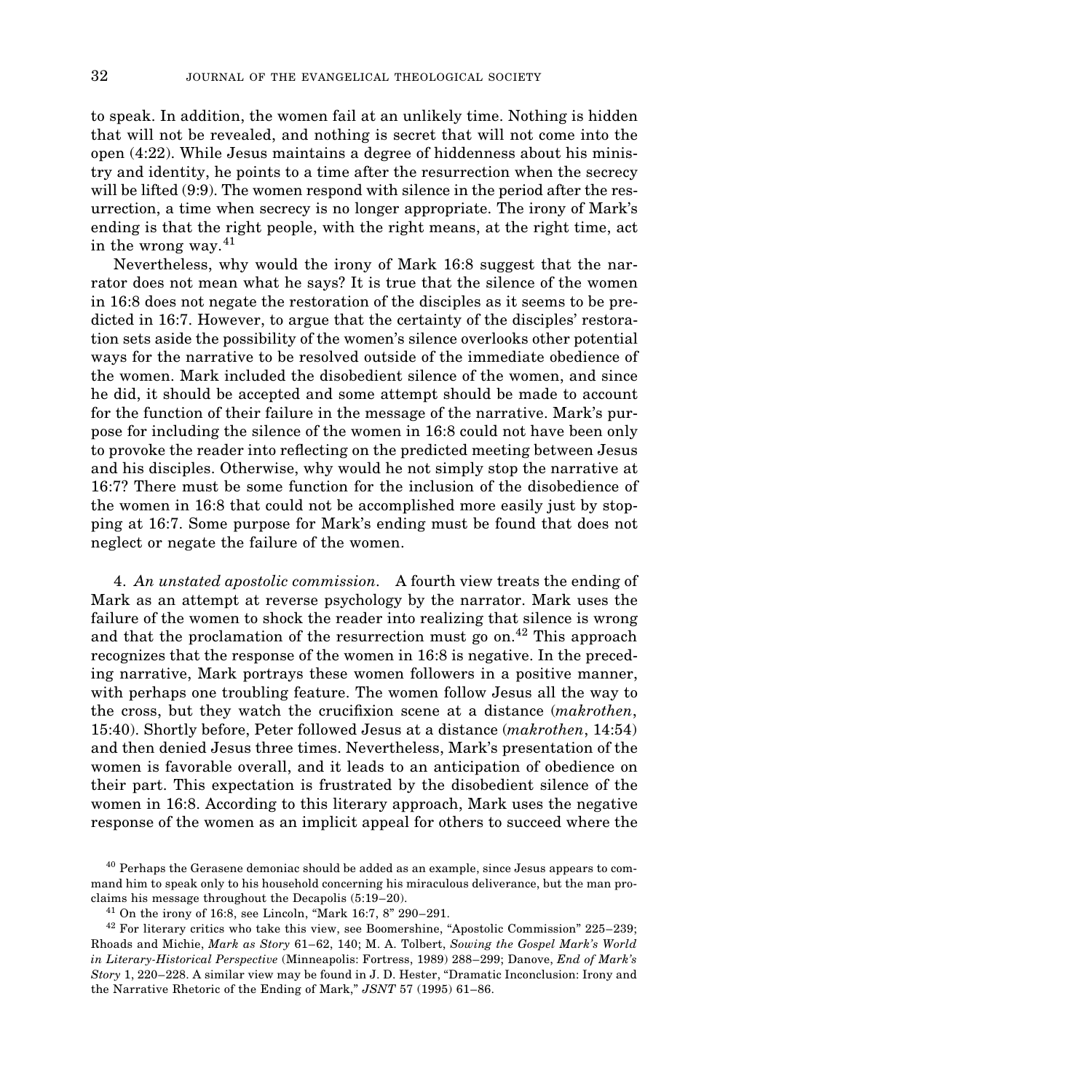to speak. In addition, the women fail at an unlikely time. Nothing is hidden that will not be revealed, and nothing is secret that will not come into the open (4:22). While Jesus maintains a degree of hiddenness about his ministry and identity, he points to a time after the resurrection when the secrecy will be lifted (9:9). The women respond with silence in the period after the resurrection, a time when secrecy is no longer appropriate. The irony of Mark's ending is that the right people, with the right means, at the right time, act in the wrong way. $41$ 

Nevertheless, why would the irony of Mark 16:8 suggest that the narrator does not mean what he says? It is true that the silence of the women in 16:8 does not negate the restoration of the disciples as it seems to be predicted in 16:7. However, to argue that the certainty of the disciples' restoration sets aside the possibility of the women's silence overlooks other potential ways for the narrative to be resolved outside of the immediate obedience of the women. Mark included the disobedient silence of the women, and since he did, it should be accepted and some attempt should be made to account for the function of their failure in the message of the narrative. Mark's purpose for including the silence of the women in 16:8 could not have been only to provoke the reader into reflecting on the predicted meeting between Jesus and his disciples. Otherwise, why would he not simply stop the narrative at 16:7? There must be some function for the inclusion of the disobedience of the women in 16:8 that could not be accomplished more easily just by stopping at 16:7. Some purpose for Mark's ending must be found that does not neglect or negate the failure of the women.

4. *An unstated apostolic commission*. A fourth view treats the ending of Mark as an attempt at reverse psychology by the narrator. Mark uses the failure of the women to shock the reader into realizing that silence is wrong and that the proclamation of the resurrection must go on. $^{42}$  This approach recognizes that the response of the women in 16:8 is negative. In the preceding narrative, Mark portrays these women followers in a positive manner, with perhaps one troubling feature. The women follow Jesus all the way to the cross, but they watch the crucifixion scene at a distance (*makrothen*, 15:40). Shortly before, Peter followed Jesus at a distance (*makrothen*, 14:54) and then denied Jesus three times. Nevertheless, Mark's presentation of the women is favorable overall, and it leads to an anticipation of obedience on their part. This expectation is frustrated by the disobedient silence of the women in 16:8. According to this literary approach, Mark uses the negative response of the women as an implicit appeal for others to succeed where the

<sup>&</sup>lt;sup>40</sup> Perhaps the Gerasene demoniac should be added as an example, since Jesus appears to command him to speak only to his household concerning his miraculous deliverance, but the man proclaims his message throughout the Decapolis (5:19–20).

 $41$  On the irony of 16:8, see Lincoln, "Mark 16:7, 8" 290–291.

<sup>&</sup>lt;sup>42</sup> For literary critics who take this view, see Boomershine, "Apostolic Commission" 225–239; Rhoads and Michie, *Mark as Story* 61–62, 140; M. A. Tolbert, *Sowing the Gospel Mark's World in Literary-Historical Perspective* (Minneapolis: Fortress, 1989) 288–299; Danove, *End of Mark's Story* 1, 220–228. A similar view may be found in J. D. Hester, "Dramatic Inconclusion: Irony and the Narrative Rhetoric of the Ending of Mark," *JSNT* 57 (1995) 61–86.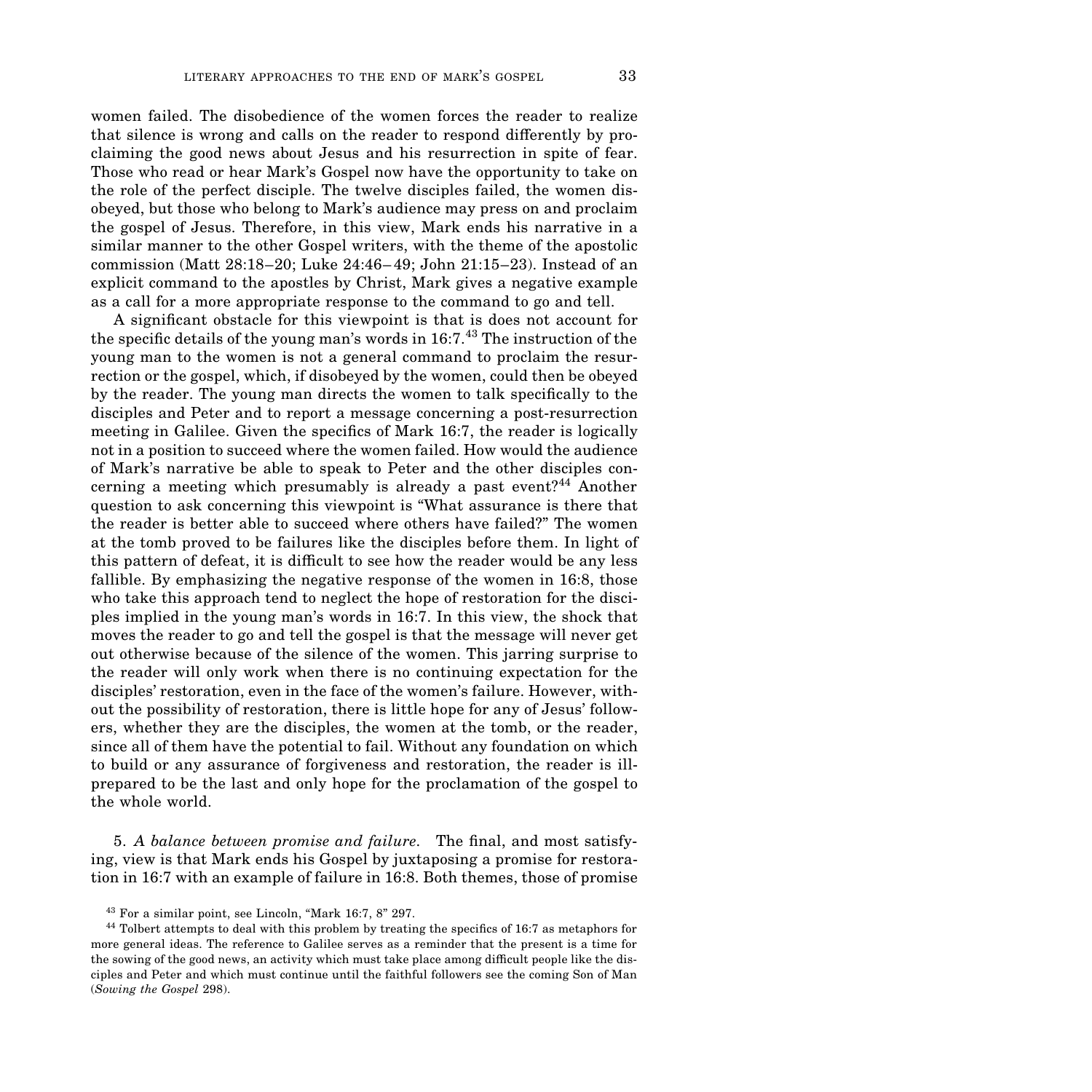women failed. The disobedience of the women forces the reader to realize that silence is wrong and calls on the reader to respond differently by proclaiming the good news about Jesus and his resurrection in spite of fear. Those who read or hear Mark's Gospel now have the opportunity to take on the role of the perfect disciple. The twelve disciples failed, the women disobeyed, but those who belong to Mark's audience may press on and proclaim the gospel of Jesus. Therefore, in this view, Mark ends his narrative in a similar manner to the other Gospel writers, with the theme of the apostolic commission (Matt 28:18–20; Luke 24:46–49; John 21:15–23). Instead of an explicit command to the apostles by Christ, Mark gives a negative example as a call for a more appropriate response to the command to go and tell.

A significant obstacle for this viewpoint is that is does not account for the specific details of the young man's words in  $16:7.^{43}$  The instruction of the young man to the women is not a general command to proclaim the resurrection or the gospel, which, if disobeyed by the women, could then be obeyed by the reader. The young man directs the women to talk specifically to the disciples and Peter and to report a message concerning a post-resurrection meeting in Galilee. Given the specifics of Mark 16:7, the reader is logically not in a position to succeed where the women failed. How would the audience of Mark's narrative be able to speak to Peter and the other disciples concerning a meeting which presumably is already a past event?<sup>44</sup> Another question to ask concerning this viewpoint is "What assurance is there that the reader is better able to succeed where others have failed?" The women at the tomb proved to be failures like the disciples before them. In light of this pattern of defeat, it is difficult to see how the reader would be any less fallible. By emphasizing the negative response of the women in 16:8, those who take this approach tend to neglect the hope of restoration for the disciples implied in the young man's words in 16:7. In this view, the shock that moves the reader to go and tell the gospel is that the message will never get out otherwise because of the silence of the women. This jarring surprise to the reader will only work when there is no continuing expectation for the disciples' restoration, even in the face of the women's failure. However, without the possibility of restoration, there is little hope for any of Jesus' followers, whether they are the disciples, the women at the tomb, or the reader, since all of them have the potential to fail. Without any foundation on which to build or any assurance of forgiveness and restoration, the reader is illprepared to be the last and only hope for the proclamation of the gospel to the whole world.

5. *A balance between promise and failure*. The final, and most satisfying, view is that Mark ends his Gospel by juxtaposing a promise for restoration in 16:7 with an example of failure in 16:8. Both themes, those of promise

 $43$  For a similar point, see Lincoln, "Mark 16:7, 8" 297.

<sup>&</sup>lt;sup>44</sup> Tolbert attempts to deal with this problem by treating the specifics of 16:7 as metaphors for more general ideas. The reference to Galilee serves as a reminder that the present is a time for the sowing of the good news, an activity which must take place among difficult people like the disciples and Peter and which must continue until the faithful followers see the coming Son of Man (*Sowing the Gospel* 298).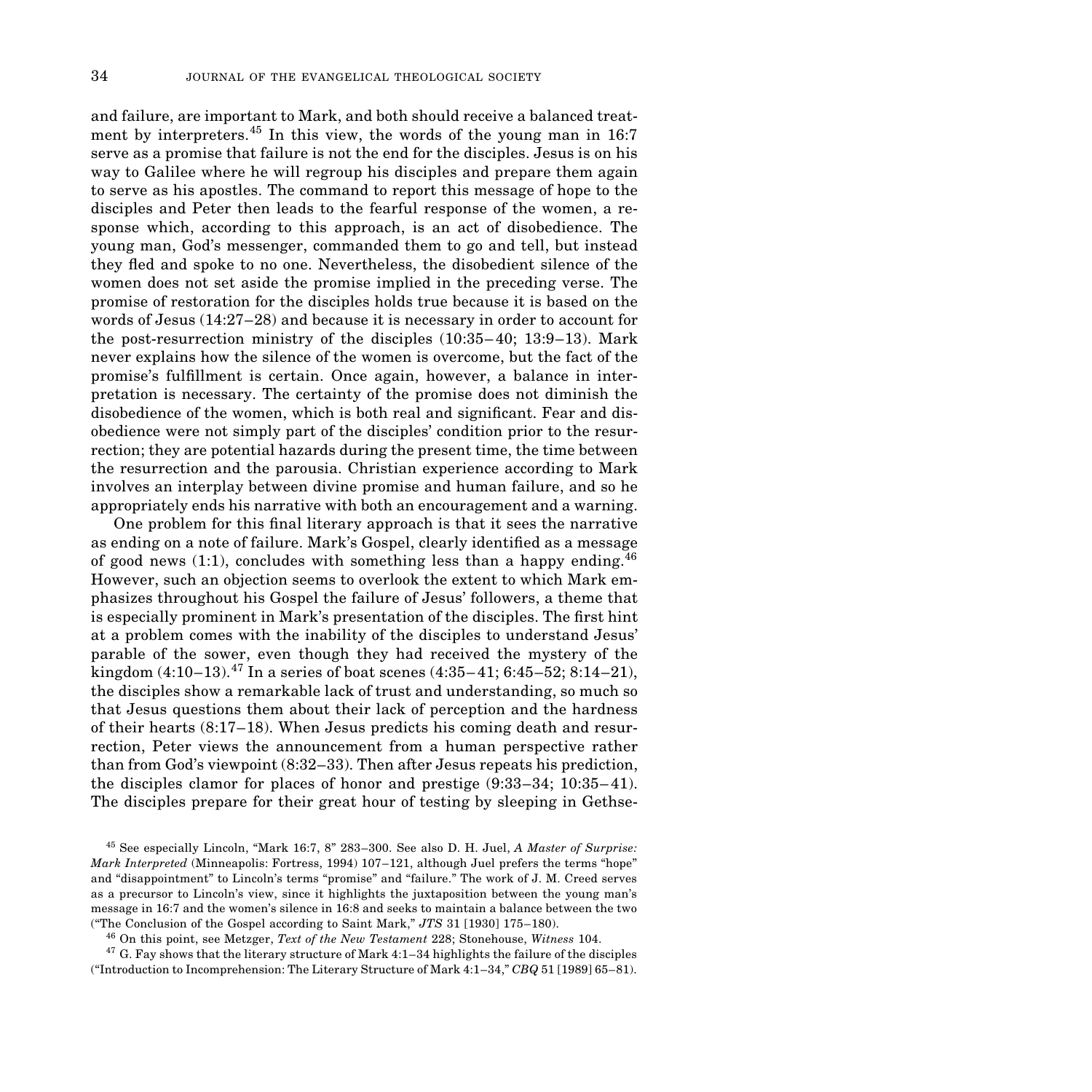and failure, are important to Mark, and both should receive a balanced treatment by interpreters.<sup>45</sup> In this view, the words of the young man in 16:7 serve as a promise that failure is not the end for the disciples. Jesus is on his way to Galilee where he will regroup his disciples and prepare them again to serve as his apostles. The command to report this message of hope to the disciples and Peter then leads to the fearful response of the women, a response which, according to this approach, is an act of disobedience. The young man, God's messenger, commanded them to go and tell, but instead they fled and spoke to no one. Nevertheless, the disobedient silence of the women does not set aside the promise implied in the preceding verse. The promise of restoration for the disciples holds true because it is based on the words of Jesus (14:27–28) and because it is necessary in order to account for the post-resurrection ministry of the disciples (10:35–40; 13:9–13). Mark never explains how the silence of the women is overcome, but the fact of the promise's ful˜llment is certain. Once again, however, a balance in interpretation is necessary. The certainty of the promise does not diminish the disobedience of the women, which is both real and significant. Fear and disobedience were not simply part of the disciples' condition prior to the resurrection; they are potential hazards during the present time, the time between the resurrection and the parousia. Christian experience according to Mark involves an interplay between divine promise and human failure, and so he appropriately ends his narrative with both an encouragement and a warning.

One problem for this final literary approach is that it sees the narrative as ending on a note of failure. Mark's Gospel, clearly identified as a message of good news  $(1:1)$ , concludes with something less than a happy ending.<sup>46</sup> However, such an objection seems to overlook the extent to which Mark emphasizes throughout his Gospel the failure of Jesus' followers, a theme that is especially prominent in Mark's presentation of the disciples. The first hint at a problem comes with the inability of the disciples to understand Jesus' parable of the sower, even though they had received the mystery of the kingdom  $(4:10-13)$ .<sup>47</sup> In a series of boat scenes  $(4:35-41; 6:45-52; 8:14-21)$ , the disciples show a remarkable lack of trust and understanding, so much so that Jesus questions them about their lack of perception and the hardness of their hearts (8:17–18). When Jesus predicts his coming death and resurrection, Peter views the announcement from a human perspective rather than from God's viewpoint (8:32–33). Then after Jesus repeats his prediction, the disciples clamor for places of honor and prestige (9:33–34; 10:35–41). The disciples prepare for their great hour of testing by sleeping in Gethse-

<sup>45</sup> See especially Lincoln, "Mark 16:7, 8" 283-300. See also D. H. Juel, *A Master of Surprise: Mark Interpreted* (Minneapolis: Fortress, 1994) 107–121, although Juel prefers the terms "hope" and "disappointment" to Lincoln's terms "promise" and "failure." The work of J. M. Creed serves as a precursor to Lincoln's view, since it highlights the juxtaposition between the young man's message in 16:7 and the women's silence in 16:8 and seeks to maintain a balance between the two ("The Conclusion of the Gospel according to Saint Mark," *JTS* 31 [1930] 175–180).

<sup>46</sup> On this point, see Metzger, *Text of the New Testament* 228; Stonehouse, *Witness* 104.

 $47$  G. Fay shows that the literary structure of Mark 4:1–34 highlights the failure of the disciples ("Introduction to Incomprehension: The Literary Structure of Mark 4:1–34," *CBQ* 51 [1989] 65–81).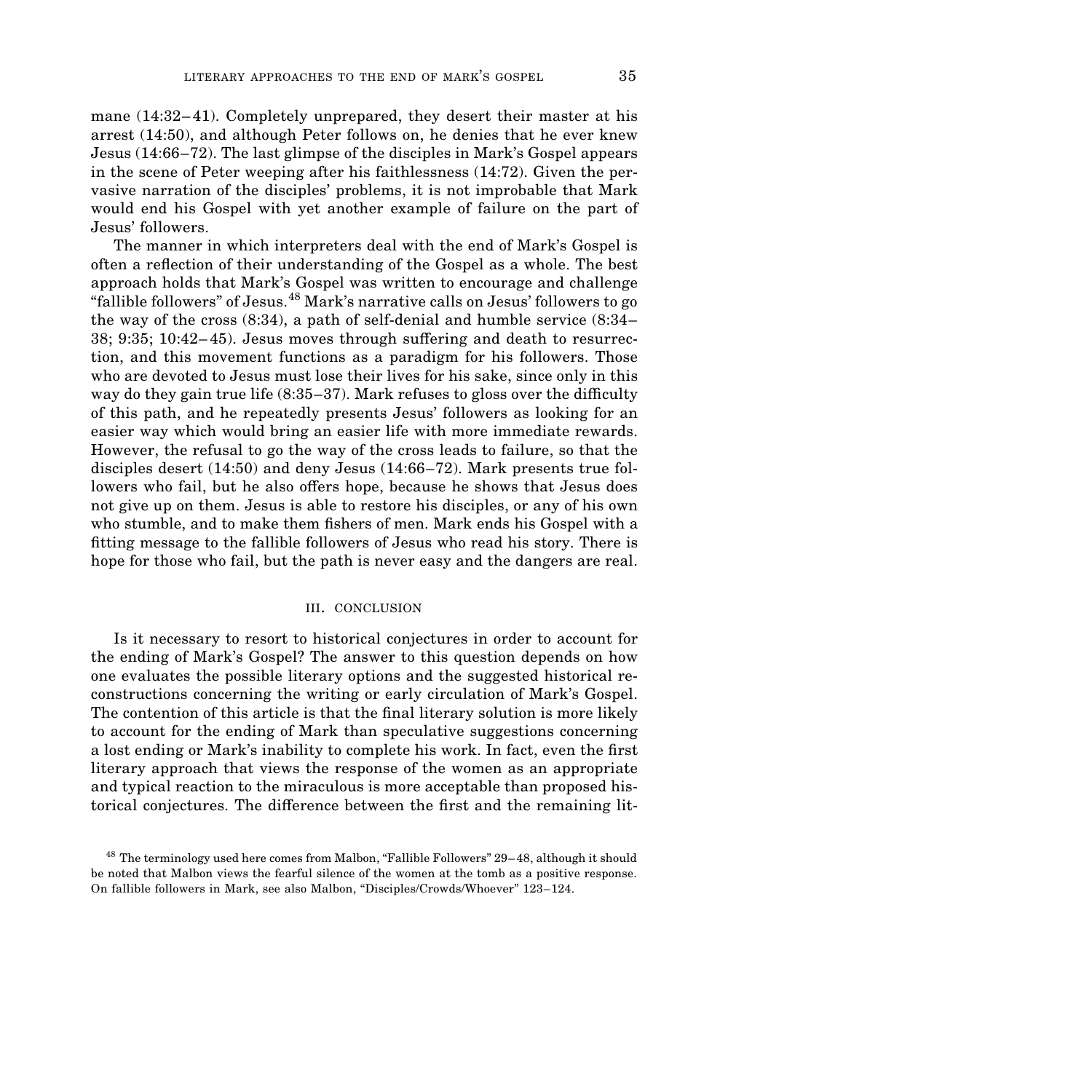mane (14:32–41). Completely unprepared, they desert their master at his arrest (14:50), and although Peter follows on, he denies that he ever knew Jesus (14:66–72). The last glimpse of the disciples in Mark's Gospel appears in the scene of Peter weeping after his faithlessness (14:72). Given the pervasive narration of the disciples' problems, it is not improbable that Mark would end his Gospel with yet another example of failure on the part of Jesus' followers.

The manner in which interpreters deal with the end of Mark's Gospel is often a reflection of their understanding of the Gospel as a whole. The best approach holds that Mark's Gospel was written to encourage and challenge "fallible followers" of Jesus.<sup>48</sup> Mark's narrative calls on Jesus' followers to go the way of the cross (8:34), a path of self-denial and humble service (8:34–  $38$ ;  $9:35$ ;  $10:42-45$ ). Jesus moves through suffering and death to resurrection, and this movement functions as a paradigm for his followers. Those who are devoted to Jesus must lose their lives for his sake, since only in this way do they gain true life  $(8:35-37)$ . Mark refuses to gloss over the difficulty of this path, and he repeatedly presents Jesus' followers as looking for an easier way which would bring an easier life with more immediate rewards. However, the refusal to go the way of the cross leads to failure, so that the disciples desert (14:50) and deny Jesus (14:66–72). Mark presents true followers who fail, but he also offers hope, because he shows that Jesus does not give up on them. Jesus is able to restore his disciples, or any of his own who stumble, and to make them fishers of men. Mark ends his Gospel with a fitting message to the fallible followers of Jesus who read his story. There is hope for those who fail, but the path is never easy and the dangers are real.

#### **III. CONCLUSION**

Is it necessary to resort to historical conjectures in order to account for the ending of Mark's Gospel? The answer to this question depends on how one evaluates the possible literary options and the suggested historical reconstructions concerning the writing or early circulation of Mark's Gospel. The contention of this article is that the final literary solution is more likely to account for the ending of Mark than speculative suggestions concerning a lost ending or Mark's inability to complete his work. In fact, even the first literary approach that views the response of the women as an appropriate and typical reaction to the miraculous is more acceptable than proposed historical conjectures. The difference between the first and the remaining lit-

<sup>&</sup>lt;sup>48</sup> The terminology used here comes from Malbon, "Fallible Followers" 29–48, although it should be noted that Malbon views the fearful silence of the women at the tomb as a positive response. On fallible followers in Mark, see also Malbon, "Disciples/Crowds/Whoever" 123–124.